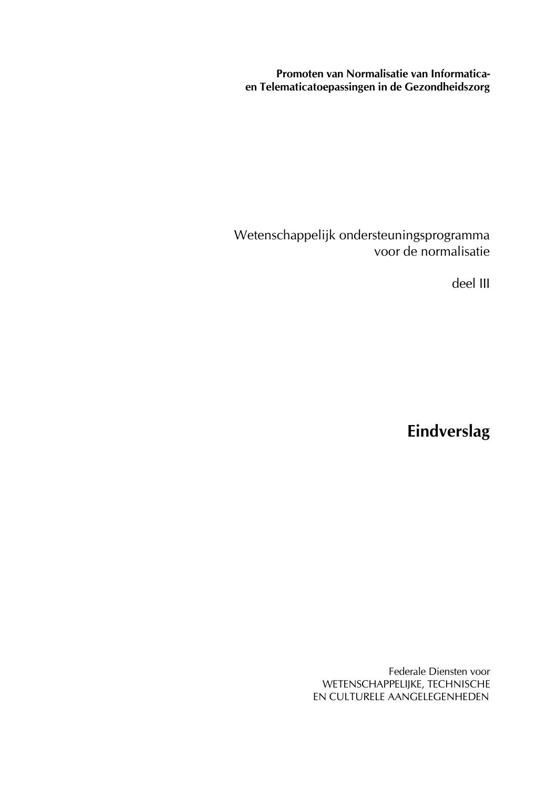**Promoten van Normalisatie van Informaticaen Telematicatoepassingen in de Gezondheidszorg**

Wetenschappelijk ondersteuningsprogramma voor de normalisatie

deel III

**Eindverslag**

Federale Diensten voor WETENSCHAPPELIJKE, TECHNISCHE EN CULTURELE AANGELEGENHEDEN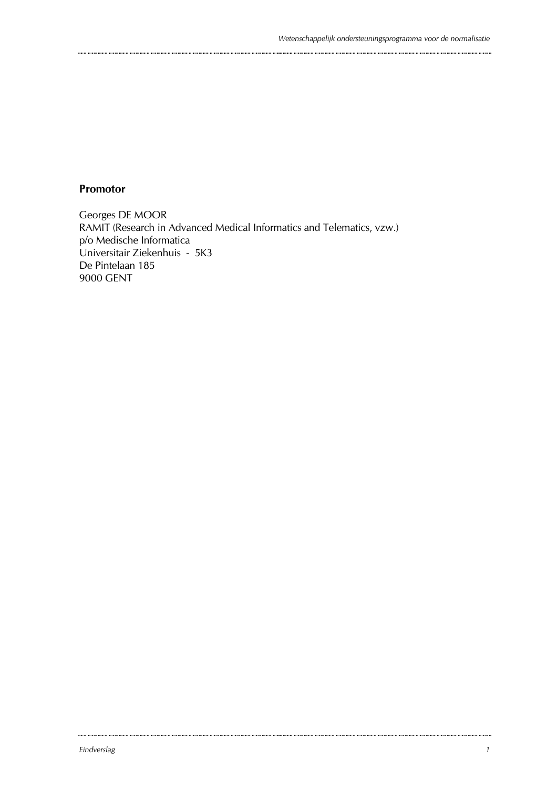#### **Promotor**

Georges DE MOOR RAMIT (Research in Advanced Medical Informatics and Telematics, vzw.) p/o Medische Informatica Universitair Ziekenhuis - 5K3 De Pintelaan 185 9000 GENT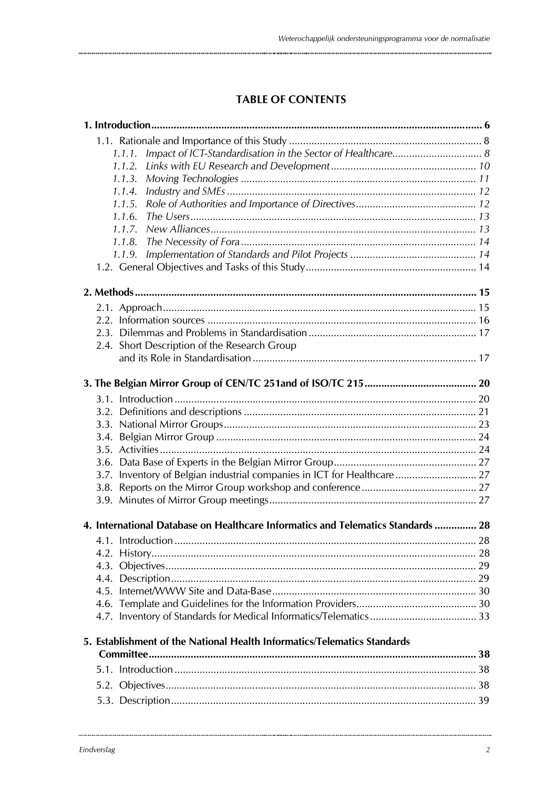## **TABLE OF CONTENTS**

|  | 1.1.1.                                                                           |  |
|--|----------------------------------------------------------------------------------|--|
|  | 1.1.2.                                                                           |  |
|  | 1.1.3.                                                                           |  |
|  | 1.1.4.                                                                           |  |
|  | 1.1.5.                                                                           |  |
|  | 1.1.6.                                                                           |  |
|  | 1.1.7.                                                                           |  |
|  | 1.1.8.                                                                           |  |
|  | 1.1.9.                                                                           |  |
|  |                                                                                  |  |
|  |                                                                                  |  |
|  |                                                                                  |  |
|  |                                                                                  |  |
|  |                                                                                  |  |
|  | 2.4. Short Description of the Research Group                                     |  |
|  |                                                                                  |  |
|  |                                                                                  |  |
|  |                                                                                  |  |
|  |                                                                                  |  |
|  |                                                                                  |  |
|  |                                                                                  |  |
|  |                                                                                  |  |
|  |                                                                                  |  |
|  |                                                                                  |  |
|  | 3.7. Inventory of Belgian industrial companies in ICT for Healthcare  27         |  |
|  |                                                                                  |  |
|  |                                                                                  |  |
|  | 4. International Database on Healthcare Informatics and Telematics Standards  28 |  |
|  |                                                                                  |  |
|  |                                                                                  |  |
|  |                                                                                  |  |
|  |                                                                                  |  |
|  |                                                                                  |  |
|  |                                                                                  |  |
|  |                                                                                  |  |
|  | 5. Establishment of the National Health Informatics/Telematics Standards         |  |
|  |                                                                                  |  |
|  |                                                                                  |  |
|  |                                                                                  |  |
|  |                                                                                  |  |
|  |                                                                                  |  |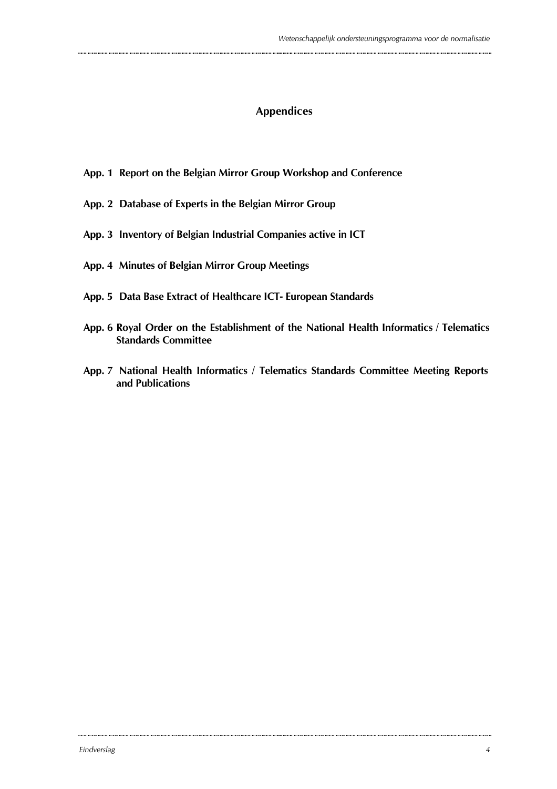### **Appendices**

- **App. 1 Report on the Belgian Mirror Group Workshop and Conference**
- **App. 2 Database of Experts in the Belgian Mirror Group**
- **App. 3 Inventory of Belgian Industrial Companies active in ICT**
- **App. 4 Minutes of Belgian Mirror Group Meetings**
- **App. 5 Data Base Extract of Healthcare ICT- European Standards**
- **App. 6 Royal Order on the Establishment of the National Health Informatics / Telematics Standards Committee**
- **App. 7 National Health Informatics / Telematics Standards Committee Meeting Reports and Publications**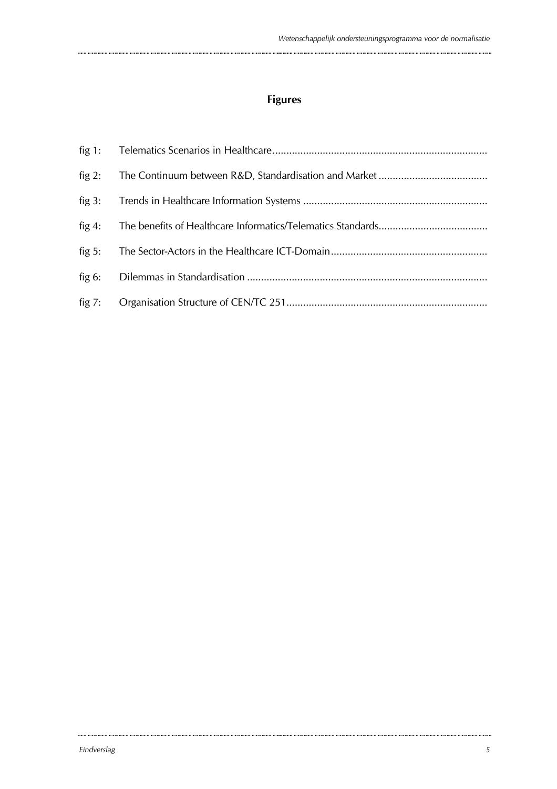# **Figures**

| fig $2$ : |  |
|-----------|--|
|           |  |
| fig $4$ : |  |
| fig $5:$  |  |
| fig $6:$  |  |
|           |  |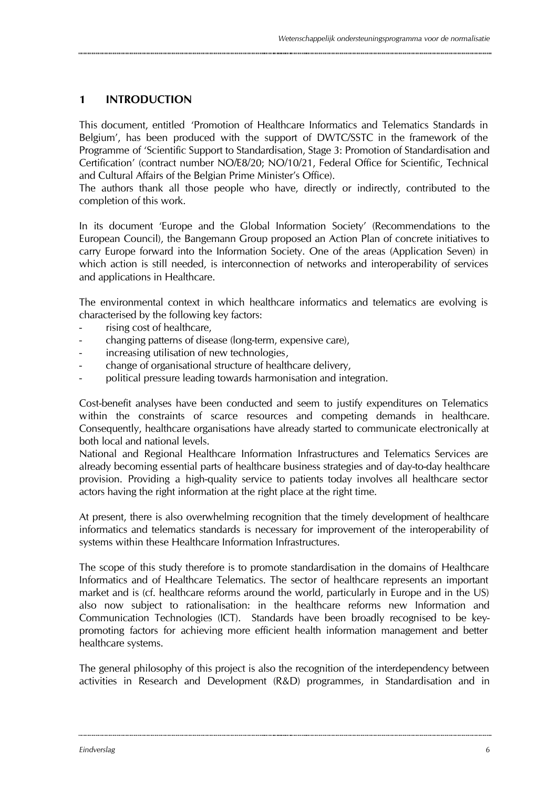### **1 INTRODUCTION**

This document, entitled 'Promotion of Healthcare Informatics and Telematics Standards in Belgium', has been produced with the support of DWTC/SSTC in the framework of the Programme of 'Scientific Support to Standardisation, Stage 3: Promotion of Standardisation and Certification' (contract number NO/E8/20; NO/10/21, Federal Office for Scientific, Technical and Cultural Affairs of the Belgian Prime Minister's Office).

The authors thank all those people who have, directly or indirectly, contributed to the completion of this work.

In its document 'Europe and the Global Information Society' (Recommendations to the European Council), the Bangemann Group proposed an Action Plan of concrete initiatives to carry Europe forward into the Information Society. One of the areas (Application Seven) in which action is still needed, is interconnection of networks and interoperability of services and applications in Healthcare.

The environmental context in which healthcare informatics and telematics are evolving is characterised by the following key factors:

- rising cost of healthcare,
- changing patterns of disease (long-term, expensive care),
- increasing utilisation of new technologies,
- change of organisational structure of healthcare delivery,
- political pressure leading towards harmonisation and integration.

Cost-benefit analyses have been conducted and seem to justify expenditures on Telematics within the constraints of scarce resources and competing demands in healthcare. Consequently, healthcare organisations have already started to communicate electronically at both local and national levels.

National and Regional Healthcare Information Infrastructures and Telematics Services are already becoming essential parts of healthcare business strategies and of day-to-day healthcare provision. Providing a high-quality service to patients today involves all healthcare sector actors having the right information at the right place at the right time.

At present, there is also overwhelming recognition that the timely development of healthcare informatics and telematics standards is necessary for improvement of the interoperability of systems within these Healthcare Information Infrastructures.

The scope of this study therefore is to promote standardisation in the domains of Healthcare Informatics and of Healthcare Telematics. The sector of healthcare represents an important market and is (cf. healthcare reforms around the world, particularly in Europe and in the US) also now subject to rationalisation: in the healthcare reforms new Information and Communication Technologies (ICT). Standards have been broadly recognised to be keypromoting factors for achieving more efficient health information management and better healthcare systems.

The general philosophy of this project is also the recognition of the interdependency between activities in Research and Development (R&D) programmes, in Standardisation and in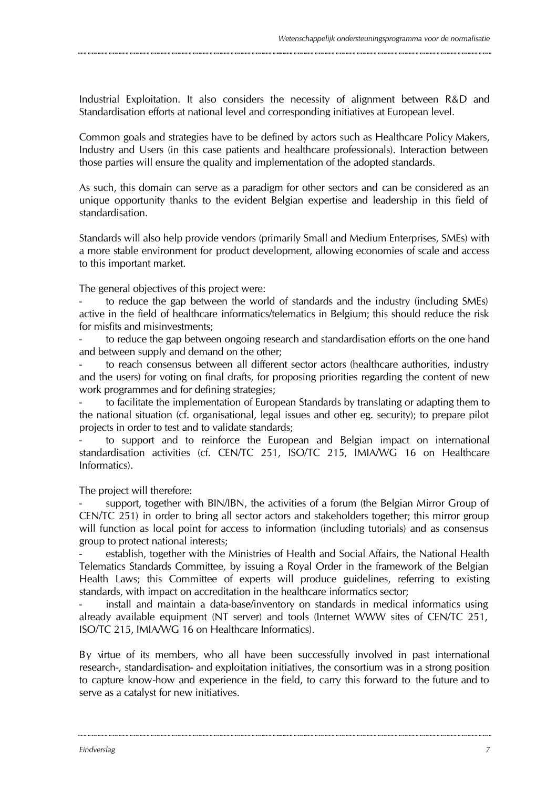Industrial Exploitation. It also considers the necessity of alignment between R&D and Standardisation efforts at national level and corresponding initiatives at European level.

Common goals and strategies have to be defined by actors such as Healthcare Policy Makers, Industry and Users (in this case patients and healthcare professionals). Interaction between those parties will ensure the quality and implementation of the adopted standards.

As such, this domain can serve as a paradigm for other sectors and can be considered as an unique opportunity thanks to the evident Belgian expertise and leadership in this field of standardisation.

Standards will also help provide vendors (primarily Small and Medium Enterprises, SMEs) with a more stable environment for product development, allowing economies of scale and access to this important market.

The general objectives of this project were:

- to reduce the gap between the world of standards and the industry (including SMEs) active in the field of healthcare informatics/telematics in Belgium; this should reduce the risk for misfits and misinvestments;

to reduce the gap between ongoing research and standardisation efforts on the one hand and between supply and demand on the other;

to reach consensus between all different sector actors (healthcare authorities, industry and the users) for voting on final drafts, for proposing priorities regarding the content of new work programmes and for defining strategies;

to facilitate the implementation of European Standards by translating or adapting them to the national situation (cf. organisational, legal issues and other eg. security); to prepare pilot projects in order to test and to validate standards;

to support and to reinforce the European and Belgian impact on international standardisation activities (cf. CEN/TC 251, ISO/TC 215, IMIA/WG 16 on Healthcare Informatics).

The project will therefore:

support, together with BIN/IBN, the activities of a forum (the Belgian Mirror Group of CEN/TC 251) in order to bring all sector actors and stakeholders together; this mirror group will function as local point for access to information (including tutorials) and as consensus group to protect national interests;

establish, together with the Ministries of Health and Social Affairs, the National Health Telematics Standards Committee, by issuing a Royal Order in the framework of the Belgian Health Laws; this Committee of experts will produce guidelines, referring to existing standards, with impact on accreditation in the healthcare informatics sector;

install and maintain a data-base/inventory on standards in medical informatics using already available equipment (NT server) and tools (Internet WWW sites of CEN/TC 251, ISO/TC 215, IMIA/WG 16 on Healthcare Informatics).

By virtue of its members, who all have been successfully involved in past international research-, standardisation- and exploitation initiatives, the consortium was in a strong position to capture know-how and experience in the field, to carry this forward to the future and to serve as a catalyst for new initiatives.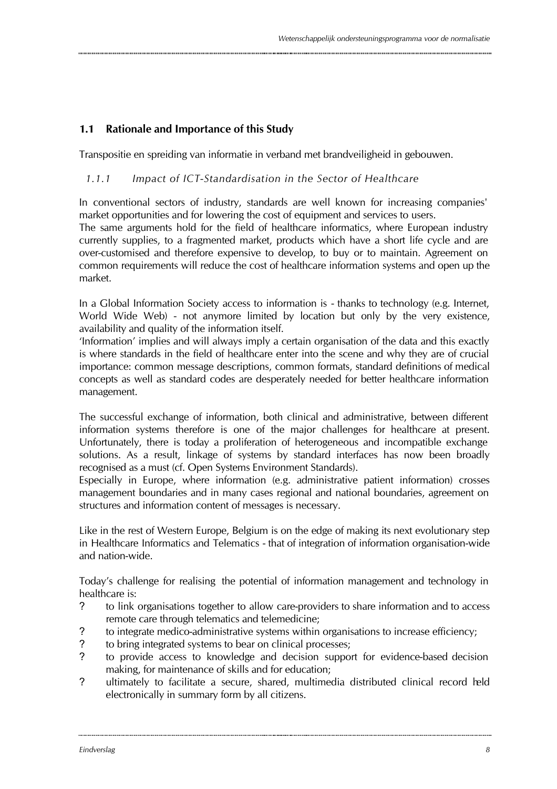### **1.1 Rationale and Importance of this Study**

Transpositie en spreiding van informatie in verband met brandveiligheid in gebouwen.

### *1.1.1 Impact of ICT-Standardisation in the Sector of Healthcare*

In conventional sectors of industry, standards are well known for increasing companies' market opportunities and for lowering the cost of equipment and services to users.

The same arguments hold for the field of healthcare informatics, where European industry currently supplies, to a fragmented market, products which have a short life cycle and are over-customised and therefore expensive to develop, to buy or to maintain. Agreement on common requirements will reduce the cost of healthcare information systems and open up the market.

In a Global Information Society access to information is - thanks to technology (e.g. Internet, World Wide Web) - not anymore limited by location but only by the very existence, availability and quality of the information itself.

'Information' implies and will always imply a certain organisation of the data and this exactly is where standards in the field of healthcare enter into the scene and why they are of crucial importance: common message descriptions, common formats, standard definitions of medical concepts as well as standard codes are desperately needed for better healthcare information management.

The successful exchange of information, both clinical and administrative, between different information systems therefore is one of the major challenges for healthcare at present. Unfortunately, there is today a proliferation of heterogeneous and incompatible exchange solutions. As a result, linkage of systems by standard interfaces has now been broadly recognised as a must (cf. Open Systems Environment Standards).

Especially in Europe, where information (e.g. administrative patient information) crosses management boundaries and in many cases regional and national boundaries, agreement on structures and information content of messages is necessary.

Like in the rest of Western Europe, Belgium is on the edge of making its next evolutionary step in Healthcare Informatics and Telematics - that of integration of information organisation-wide and nation-wide.

Today's challenge for realising the potential of information management and technology in healthcare is:

- ? to link organisations together to allow care-providers to share information and to access remote care through telematics and telemedicine;
- ? to integrate medico-administrative systems within organisations to increase efficiency;
- ? to bring integrated systems to bear on clinical processes;
- ? to provide access to knowledge and decision support for evidence-based decision making, for maintenance of skills and for education;
- ? ultimately to facilitate a secure, shared, multimedia distributed clinical record held electronically in summary form by all citizens.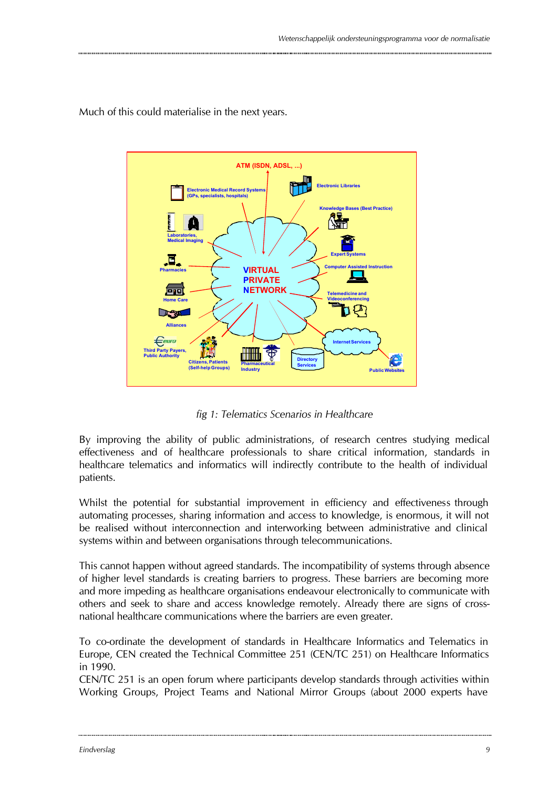

Much of this could materialise in the next years.

*fig 1: Telematics Scenarios in Healthcare*

By improving the ability of public administrations, of research centres studying medical effectiveness and of healthcare professionals to share critical information, standards in healthcare telematics and informatics will indirectly contribute to the health of individual patients.

Whilst the potential for substantial improvement in efficiency and effectiveness through automating processes, sharing information and access to knowledge, is enormous, it will not be realised without interconnection and interworking between administrative and clinical systems within and between organisations through telecommunications.

This cannot happen without agreed standards. The incompatibility of systems through absence of higher level standards is creating barriers to progress. These barriers are becoming more and more impeding as healthcare organisations endeavour electronically to communicate with others and seek to share and access knowledge remotely. Already there are signs of crossnational healthcare communications where the barriers are even greater.

To co-ordinate the development of standards in Healthcare Informatics and Telematics in Europe, CEN created the Technical Committee 251 (CEN/TC 251) on Healthcare Informatics in 1990.

CEN/TC 251 is an open forum where participants develop standards through activities within Working Groups, Project Teams and National Mirror Groups (about 2000 experts have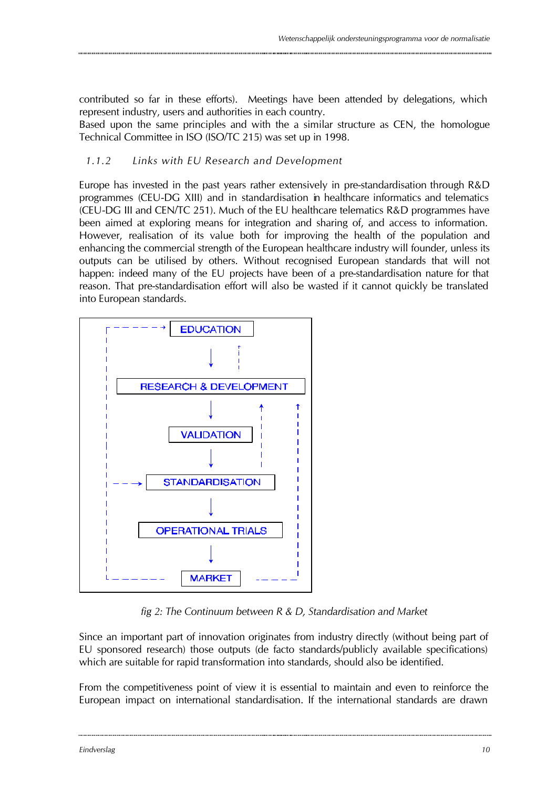contributed so far in these efforts). Meetings have been attended by delegations, which represent industry, users and authorities in each country.

Based upon the same principles and with the a similar structure as CEN, the homologue Technical Committee in ISO (ISO/TC 215) was set up in 1998.

### *1.1.2 Links with EU Research and Development*

Europe has invested in the past years rather extensively in pre-standardisation through R&D programmes (CEU-DG XIII) and in standardisation in healthcare informatics and telematics (CEU-DG III and CEN/TC 251). Much of the EU healthcare telematics R&D programmes have been aimed at exploring means for integration and sharing of, and access to information. However, realisation of its value both for improving the health of the population and enhancing the commercial strength of the European healthcare industry will founder, unless its outputs can be utilised by others. Without recognised European standards that will not happen: indeed many of the EU projects have been of a pre-standardisation nature for that reason. That pre-standardisation effort will also be wasted if it cannot quickly be translated into European standards.



*fig 2: The Continuum between R & D, Standardisation and Market*

Since an important part of innovation originates from industry directly (without being part of EU sponsored research) those outputs (de facto standards/publicly available specifications) which are suitable for rapid transformation into standards, should also be identified.

From the competitiveness point of view it is essential to maintain and even to reinforce the European impact on international standardisation. If the international standards are drawn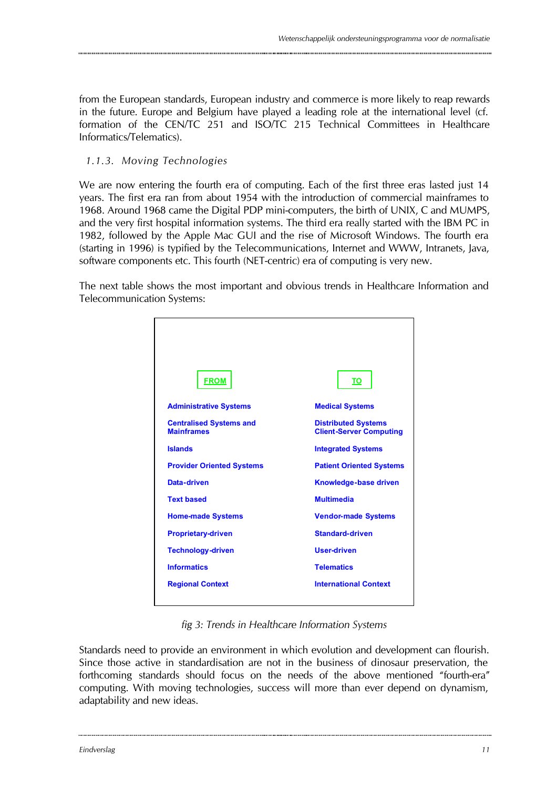from the European standards, European industry and commerce is more likely to reap rewards in the future. Europe and Belgium have played a leading role at the international level (cf. formation of the CEN/TC 251 and ISO/TC 215 Technical Committees in Healthcare Informatics/Telematics).

### *1.1.3. Moving Technologies*

We are now entering the fourth era of computing. Each of the first three eras lasted just 14 years. The first era ran from about 1954 with the introduction of commercial mainframes to 1968. Around 1968 came the Digital PDP mini-computers, the birth of UNIX, C and MUMPS, and the very first hospital information systems. The third era really started with the IBM PC in 1982, followed by the Apple Mac GUI and the rise of Microsoft Windows. The fourth era (starting in 1996) is typified by the Telecommunications, Internet and WWW, Intranets, Java, software components etc. This fourth (NET-centric) era of computing is very new.

The next table shows the most important and obvious trends in Healthcare Information and Telecommunication Systems:



*fig 3: Trends in Healthcare Information Systems*

Standards need to provide an environment in which evolution and development can flourish. Since those active in standardisation are not in the business of dinosaur preservation, the forthcoming standards should focus on the needs of the above mentioned "fourth-era" computing. With moving technologies, success will more than ever depend on dynamism, adaptability and new ideas.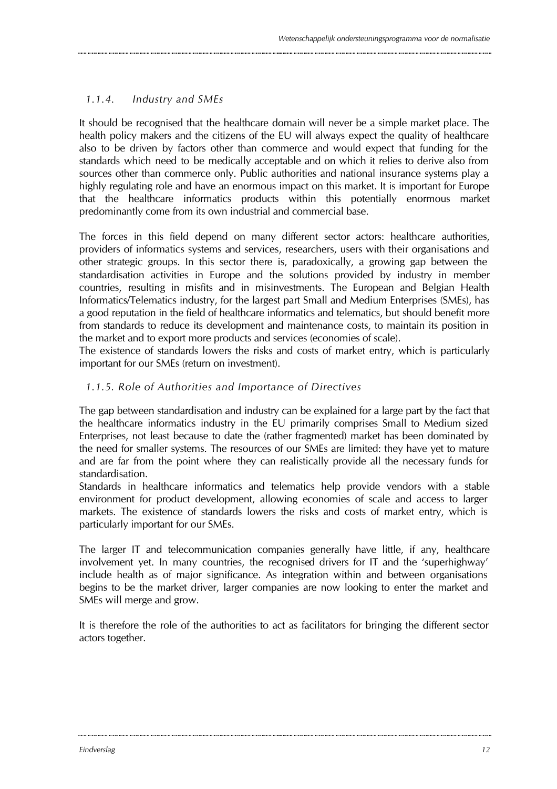### *1.1.4. Industry and SMEs*

It should be recognised that the healthcare domain will never be a simple market place. The health policy makers and the citizens of the EU will always expect the quality of healthcare also to be driven by factors other than commerce and would expect that funding for the standards which need to be medically acceptable and on which it relies to derive also from sources other than commerce only. Public authorities and national insurance systems play a highly regulating role and have an enormous impact on this market. It is important for Europe that the healthcare informatics products within this potentially enormous market predominantly come from its own industrial and commercial base.

The forces in this field depend on many different sector actors: healthcare authorities, providers of informatics systems and services, researchers, users with their organisations and other strategic groups. In this sector there is, paradoxically, a growing gap between the standardisation activities in Europe and the solutions provided by industry in member countries, resulting in misfits and in misinvestments. The European and Belgian Health Informatics/Telematics industry, for the largest part Small and Medium Enterprises (SMEs), has a good reputation in the field of healthcare informatics and telematics, but should benefit more from standards to reduce its development and maintenance costs, to maintain its position in the market and to export more products and services (economies of scale).

The existence of standards lowers the risks and costs of market entry, which is particularly important for our SMEs (return on investment).

#### *1.1.5. Role of Authorities and Importance of Directives*

The gap between standardisation and industry can be explained for a large part by the fact that the healthcare informatics industry in the EU primarily comprises Small to Medium sized Enterprises, not least because to date the (rather fragmented) market has been dominated by the need for smaller systems. The resources of our SMEs are limited: they have yet to mature and are far from the point where they can realistically provide all the necessary funds for standardisation.

Standards in healthcare informatics and telematics help provide vendors with a stable environment for product development, allowing economies of scale and access to larger markets. The existence of standards lowers the risks and costs of market entry, which is particularly important for our SMEs.

The larger IT and telecommunication companies generally have little, if any, healthcare involvement yet. In many countries, the recognised drivers for IT and the 'superhighway' include health as of major significance. As integration within and between organisations begins to be the market driver, larger companies are now looking to enter the market and SMEs will merge and grow.

It is therefore the role of the authorities to act as facilitators for bringing the different sector actors together.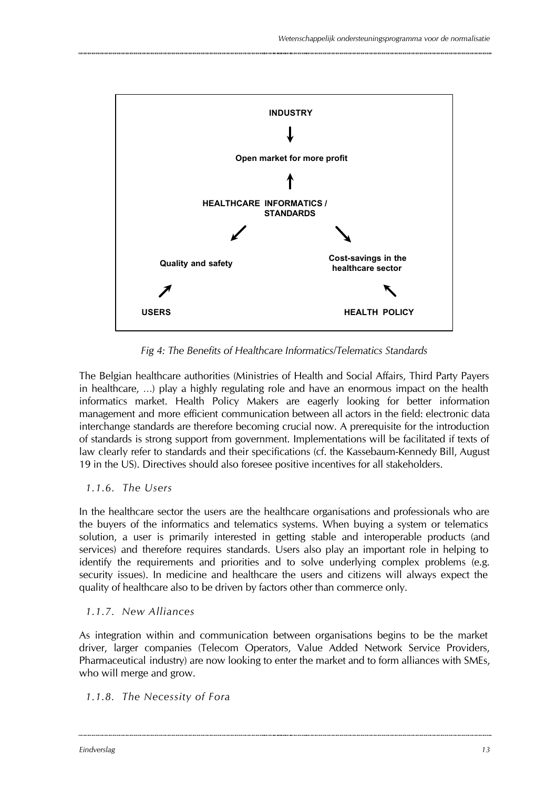

*Fig 4: The Benefits of Healthcare Informatics/Telematics Standards*

The Belgian healthcare authorities (Ministries of Health and Social Affairs, Third Party Payers in healthcare, …) play a highly regulating role and have an enormous impact on the health informatics market. Health Policy Makers are eagerly looking for better information management and more efficient communication between all actors in the field: electronic data interchange standards are therefore becoming crucial now. A prerequisite for the introduction of standards is strong support from government. Implementations will be facilitated if texts of law clearly refer to standards and their specifications (cf. the Kassebaum-Kennedy Bill, August 19 in the US). Directives should also foresee positive incentives for all stakeholders.

### *1.1.6. The Users*

In the healthcare sector the users are the healthcare organisations and professionals who are the buyers of the informatics and telematics systems. When buying a system or telematics solution, a user is primarily interested in getting stable and interoperable products (and services) and therefore requires standards. Users also play an important role in helping to identify the requirements and priorities and to solve underlying complex problems (e.g. security issues). In medicine and healthcare the users and citizens will always expect the quality of healthcare also to be driven by factors other than commerce only.

### *1.1.7. New Alliances*

As integration within and communication between organisations begins to be the market driver, larger companies (Telecom Operators, Value Added Network Service Providers, Pharmaceutical industry) are now looking to enter the market and to form alliances with SMEs, who will merge and grow.

### *1.1.8. The Necessity of Fora*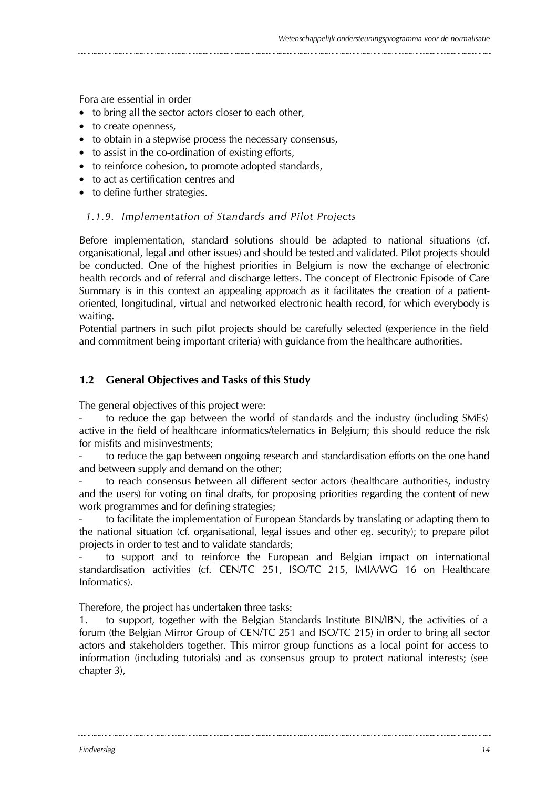Fora are essential in order

- to bring all the sector actors closer to each other.
- to create openness,
- to obtain in a stepwise process the necessary consensus,
- to assist in the co-ordination of existing efforts.
- to reinforce cohesion, to promote adopted standards,
- to act as certification centres and
- to define further strategies.

### *1.1.9. Implementation of Standards and Pilot Projects*

Before implementation, standard solutions should be adapted to national situations (cf. organisational, legal and other issues) and should be tested and validated. Pilot projects should be conducted. One of the highest priorities in Belgium is now the exchange of electronic health records and of referral and discharge letters. The concept of Electronic Episode of Care Summary is in this context an appealing approach as it facilitates the creation of a patientoriented, longitudinal, virtual and networked electronic health record, for which everybody is waiting.

Potential partners in such pilot projects should be carefully selected (experience in the field and commitment being important criteria) with guidance from the healthcare authorities.

### **1.2 General Objectives and Tasks of this Study**

The general objectives of this project were:

to reduce the gap between the world of standards and the industry (including SMEs) active in the field of healthcare informatics/telematics in Belgium; this should reduce the risk for misfits and misinvestments;

to reduce the gap between ongoing research and standardisation efforts on the one hand and between supply and demand on the other;

to reach consensus between all different sector actors (healthcare authorities, industry and the users) for voting on final drafts, for proposing priorities regarding the content of new work programmes and for defining strategies;

- to facilitate the implementation of European Standards by translating or adapting them to the national situation (cf. organisational, legal issues and other eg. security); to prepare pilot projects in order to test and to validate standards;

to support and to reinforce the European and Belgian impact on international standardisation activities (cf. CEN/TC 251, ISO/TC 215, IMIA/WG 16 on Healthcare Informatics).

Therefore, the project has undertaken three tasks:

1. to support, together with the Belgian Standards Institute BIN/IBN, the activities of a forum (the Belgian Mirror Group of CEN/TC 251 and ISO/TC 215) in order to bring all sector actors and stakeholders together. This mirror group functions as a local point for access to information (including tutorials) and as consensus group to protect national interests; (see chapter 3),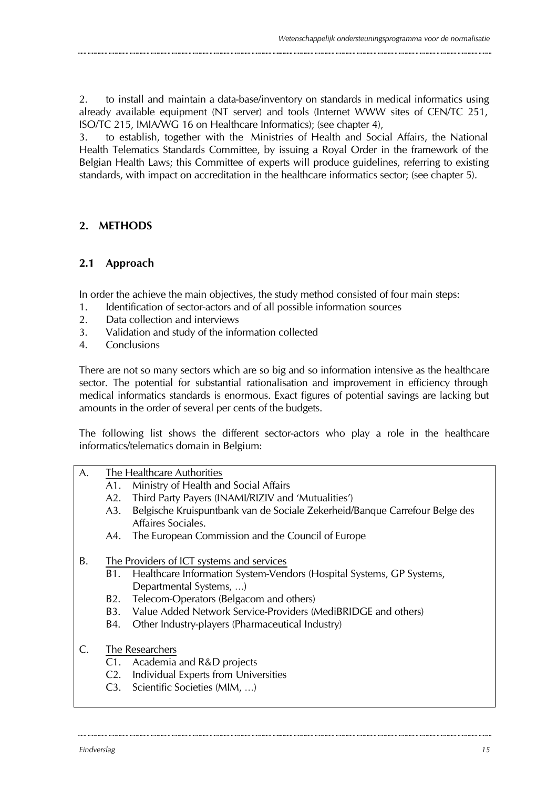2. to install and maintain a data-base/inventory on standards in medical informatics using already available equipment (NT server) and tools (Internet WWW sites of CEN/TC 251, ISO/TC 215, IMIA/WG 16 on Healthcare Informatics); (see chapter 4),

3. to establish, together with the Ministries of Health and Social Affairs, the National Health Telematics Standards Committee, by issuing a Royal Order in the framework of the Belgian Health Laws; this Committee of experts will produce guidelines, referring to existing standards, with impact on accreditation in the healthcare informatics sector; (see chapter 5).

### **2. METHODS**

### **2.1 Approach**

In order the achieve the main objectives, the study method consisted of four main steps:

- 1. Identification of sector-actors and of all possible information sources
- 2. Data collection and interviews
- 3. Validation and study of the information collected
- 4. Conclusions

There are not so many sectors which are so big and so information intensive as the healthcare sector. The potential for substantial rationalisation and improvement in efficiency through medical informatics standards is enormous. Exact figures of potential savings are lacking but amounts in the order of several per cents of the budgets.

The following list shows the different sector-actors who play a role in the healthcare informatics/telematics domain in Belgium:

|  | A. | The Healthcare Authorities |
|--|----|----------------------------|
|--|----|----------------------------|

- A1. Ministry of Health and Social Affairs
- A2. Third Party Payers (INAMI/RIZIV and 'Mutualities')
- A3. Belgische Kruispuntbank van de Sociale Zekerheid/Banque Carrefour Belge des Affaires Sociales.
- A4. The European Commission and the Council of Europe
- B. The Providers of ICT systems and services
	- B1. Healthcare Information System-Vendors (Hospital Systems, GP Systems, Departmental Systems, …)
	- B2. Telecom-Operators (Belgacom and others)
	- B3. Value Added Network Service-Providers (MediBRIDGE and others)
	- B4. Other Industry-players (Pharmaceutical Industry)
- C. The Researchers
	- C1. Academia and R&D projects
	- C2. Individual Experts from Universities
	- C3. Scientific Societies (MIM, …)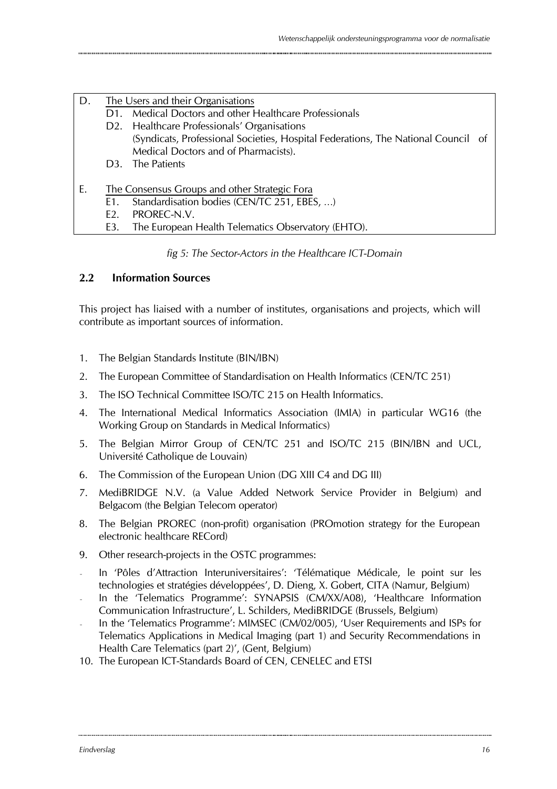| D. |                | The Users and their Organisations                                                 |
|----|----------------|-----------------------------------------------------------------------------------|
|    | D1.            | Medical Doctors and other Healthcare Professionals                                |
|    |                | D2. Healthcare Professionals' Organisations                                       |
|    |                | (Syndicats, Professional Societies, Hospital Federations, The National Council of |
|    |                | Medical Doctors and of Pharmacists).                                              |
|    |                | D3. The Patients                                                                  |
| Ε. |                | The Consensus Groups and other Strategic Fora                                     |
|    | E1.            | Standardisation bodies (CEN/TC 251, EBES, )                                       |
|    | F <sub>2</sub> | PROREC-N.V.                                                                       |
|    | E3.            | The European Health Telematics Observatory (EHTO).                                |

### *fig 5: The Sector-Actors in the Healthcare ICT-Domain*

### **2.2 Information Sources**

This project has liaised with a number of institutes, organisations and projects, which will contribute as important sources of information.

- 1. The Belgian Standards Institute (BIN/IBN)
- 2. The European Committee of Standardisation on Health Informatics (CEN/TC 251)
- 3. The ISO Technical Committee ISO/TC 215 on Health Informatics.
- 4. The International Medical Informatics Association (IMIA) in particular WG16 (the Working Group on Standards in Medical Informatics)
- 5. The Belgian Mirror Group of CEN/TC 251 and ISO/TC 215 (BIN/IBN and UCL, Université Catholique de Louvain)
- 6. The Commission of the European Union (DG XIII C4 and DG III)
- 7. MediBRIDGE N.V. (a Value Added Network Service Provider in Belgium) and Belgacom (the Belgian Telecom operator)
- 8. The Belgian PROREC (non-profit) organisation (PROmotion strategy for the European electronic healthcare RECord)
- 9. Other research-projects in the OSTC programmes:
- In 'Pôles d'Attraction Interuniversitaires': 'Télématique Médicale, le point sur les technologies et stratégies développées', D. Dieng, X. Gobert, CITA (Namur, Belgium)
- In the 'Telematics Programme': SYNAPSIS (CM/XX/A08), 'Healthcare Information Communication Infrastructure', L. Schilders, MediBRIDGE (Brussels, Belgium)
- In the 'Telematics Programme': MIMSEC (CM/02/005), 'User Requirements and ISPs for Telematics Applications in Medical Imaging (part 1) and Security Recommendations in Health Care Telematics (part 2)', (Gent, Belgium)
- 10. The European ICT-Standards Board of CEN, CENELEC and ETSI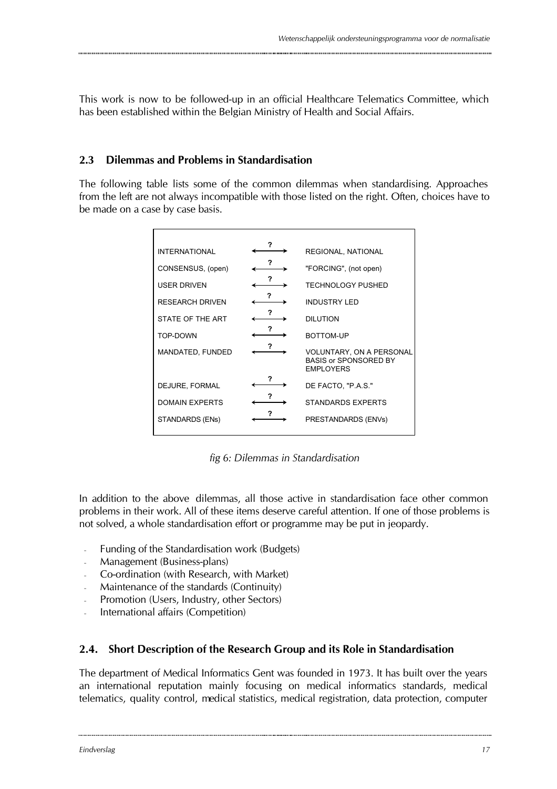This work is now to be followed-up in an official Healthcare Telematics Committee, which has been established within the Belgian Ministry of Health and Social Affairs.

### **2.3 Dilemmas and Problems in Standardisation**

The following table lists some of the common dilemmas when standardising. Approaches from the left are not always incompatible with those listed on the right. Often, choices have to be made on a case by case basis.

| <b>INTERNATIONAL</b>   | 7 | REGIONAL, NATIONAL                                                                  |
|------------------------|---|-------------------------------------------------------------------------------------|
| CONSENSUS, (open)      | ? | "FORCING", (not open)                                                               |
| <b>USER DRIVEN</b>     |   | <b>TECHNOLOGY PUSHED</b>                                                            |
| <b>RESEARCH DRIVEN</b> | ? | <b>INDUSTRY LED</b>                                                                 |
| STATE OF THE ART       | ? | <b>DILUTION</b>                                                                     |
| TOP-DOWN               | ? | BOTTOM-UP                                                                           |
| MANDATED, FUNDED       |   | <b>VOLUNTARY, ON A PERSONAL</b><br><b>BASIS or SPONSORED BY</b><br><b>EMPLOYERS</b> |
| DEJURE, FORMAL         | ? | DE FACTO, "P.A.S."                                                                  |
| <b>DOMAIN EXPERTS</b>  |   | <b>STANDARDS EXPERTS</b>                                                            |
| STANDARDS (ENs)        |   | PRESTANDARDS (ENVs)                                                                 |
|                        |   |                                                                                     |

*fig 6: Dilemmas in Standardisation*

In addition to the above dilemmas, all those active in standardisation face other common problems in their work. All of these items deserve careful attention. If one of those problems is not solved, a whole standardisation effort or programme may be put in jeopardy.

- Funding of the Standardisation work (Budgets)
- Management (Business-plans)
- Co-ordination (with Research, with Market)
- Maintenance of the standards (Continuity)
- Promotion (Users, Industry, other Sectors)
- International affairs (Competition)

### **2.4. Short Description of the Research Group and its Role in Standardisation**

The department of Medical Informatics Gent was founded in 1973. It has built over the years an international reputation mainly focusing on medical informatics standards, medical telematics, quality control, medical statistics, medical registration, data protection, computer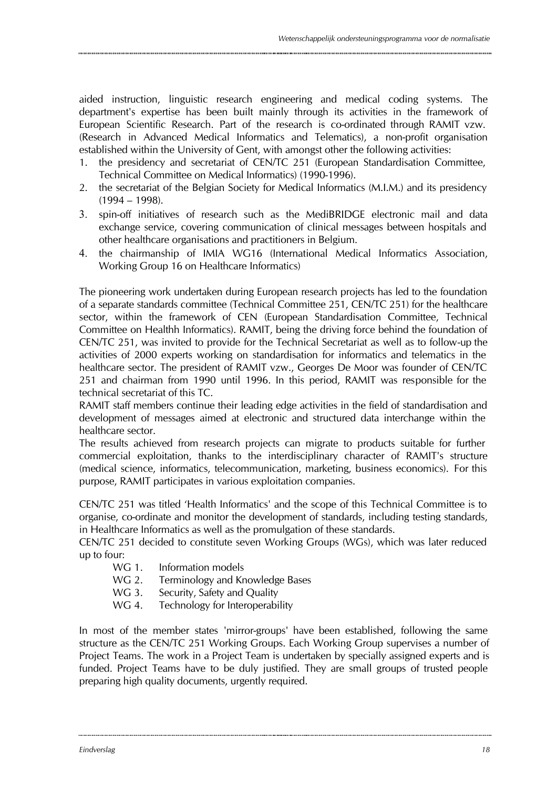aided instruction, linguistic research engineering and medical coding systems. The department's expertise has been built mainly through its activities in the framework of European Scientific Research. Part of the research is co-ordinated through RAMIT vzw. (Research in Advanced Medical Informatics and Telematics), a non-profit organisation established within the University of Gent, with amongst other the following activities:

- 1. the presidency and secretariat of CEN/TC 251 (European Standardisation Committee, Technical Committee on Medical Informatics) (1990-1996).
- 2. the secretariat of the Belgian Society for Medical Informatics (M.I.M.) and its presidency (1994 – 1998).
- 3. spin-off initiatives of research such as the MediBRIDGE electronic mail and data exchange service, covering communication of clinical messages between hospitals and other healthcare organisations and practitioners in Belgium.
- 4. the chairmanship of IMIA WG16 (International Medical Informatics Association, Working Group 16 on Healthcare Informatics)

The pioneering work undertaken during European research projects has led to the foundation of a separate standards committee (Technical Committee 251, CEN/TC 251) for the healthcare sector, within the framework of CEN (European Standardisation Committee, Technical Committee on Healthh Informatics). RAMIT, being the driving force behind the foundation of CEN/TC 251, was invited to provide for the Technical Secretariat as well as to follow-up the activities of 2000 experts working on standardisation for informatics and telematics in the healthcare sector. The president of RAMIT vzw., Georges De Moor was founder of CEN/TC 251 and chairman from 1990 until 1996. In this period, RAMIT was responsible for the technical secretariat of this TC.

RAMIT staff members continue their leading edge activities in the field of standardisation and development of messages aimed at electronic and structured data interchange within the healthcare sector.

The results achieved from research projects can migrate to products suitable for further commercial exploitation, thanks to the interdisciplinary character of RAMIT's structure (medical science, informatics, telecommunication, marketing, business economics). For this purpose, RAMIT participates in various exploitation companies.

CEN/TC 251 was titled 'Health Informatics' and the scope of this Technical Committee is to organise, co-ordinate and monitor the development of standards, including testing standards, in Healthcare Informatics as well as the promulgation of these standards.

CEN/TC 251 decided to constitute seven Working Groups (WGs), which was later reduced up to four:

- WG 1. Information models
- WG 2. Terminology and Knowledge Bases
- WG 3. Security, Safety and Quality
- WG 4. Technology for Interoperability

In most of the member states 'mirror-groups' have been established, following the same structure as the CEN/TC 251 Working Groups. Each Working Group supervises a number of Project Teams. The work in a Project Team is undertaken by specially assigned experts and is funded. Project Teams have to be duly justified. They are small groups of trusted people preparing high quality documents, urgently required.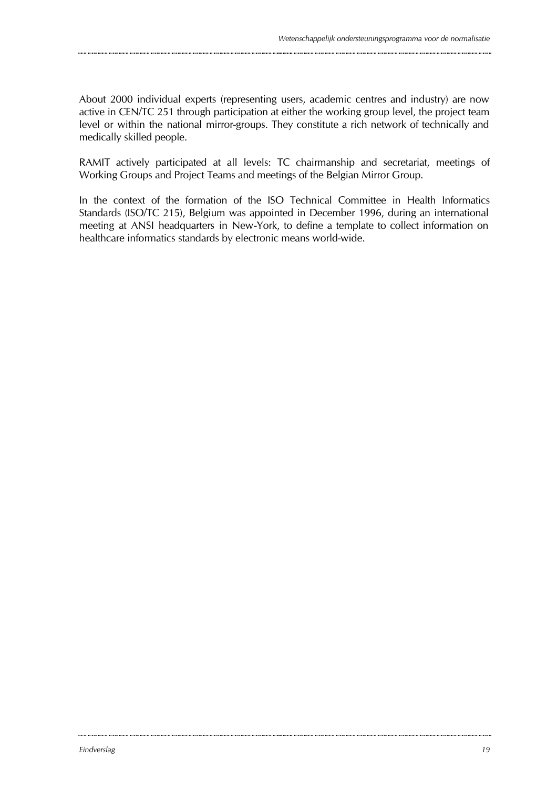About 2000 individual experts (representing users, academic centres and industry) are now active in CEN/TC 251 through participation at either the working group level, the project team level or within the national mirror-groups. They constitute a rich network of technically and medically skilled people.

RAMIT actively participated at all levels: TC chairmanship and secretariat, meetings of Working Groups and Project Teams and meetings of the Belgian Mirror Group.

In the context of the formation of the ISO Technical Committee in Health Informatics Standards (ISO/TC 215), Belgium was appointed in December 1996, during an international meeting at ANSI headquarters in New-York, to define a template to collect information on healthcare informatics standards by electronic means world-wide.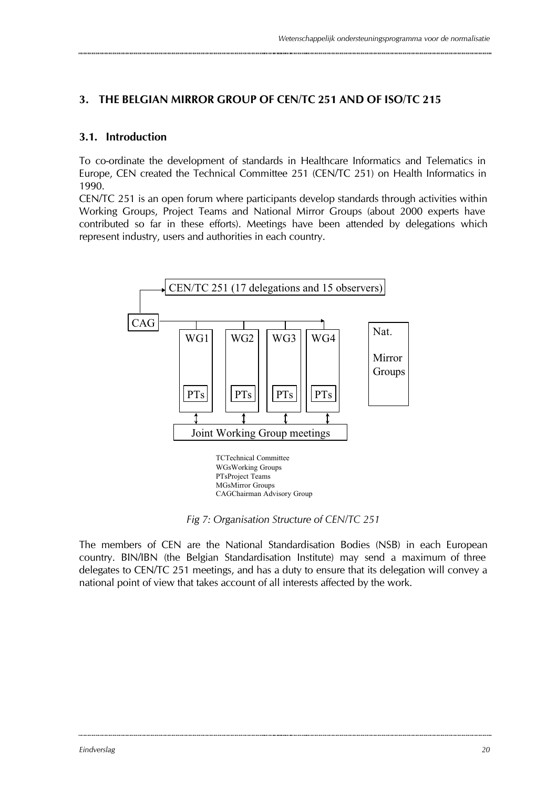### **3. THE BELGIAN MIRROR GROUP OF CEN/TC 251 AND OF ISO/TC 215**

### **3.1. Introduction**

To co-ordinate the development of standards in Healthcare Informatics and Telematics in Europe, CEN created the Technical Committee 251 (CEN/TC 251) on Health Informatics in 1990.

CEN/TC 251 is an open forum where participants develop standards through activities within Working Groups, Project Teams and National Mirror Groups (about 2000 experts have contributed so far in these efforts). Meetings have been attended by delegations which represent industry, users and authorities in each country.



*Fig 7: Organisation Structure of CEN/TC 251*

The members of CEN are the National Standardisation Bodies (NSB) in each European country. BIN/IBN (the Belgian Standardisation Institute) may send a maximum of three delegates to CEN/TC 251 meetings, and has a duty to ensure that its delegation will convey a national point of view that takes account of all interests affected by the work.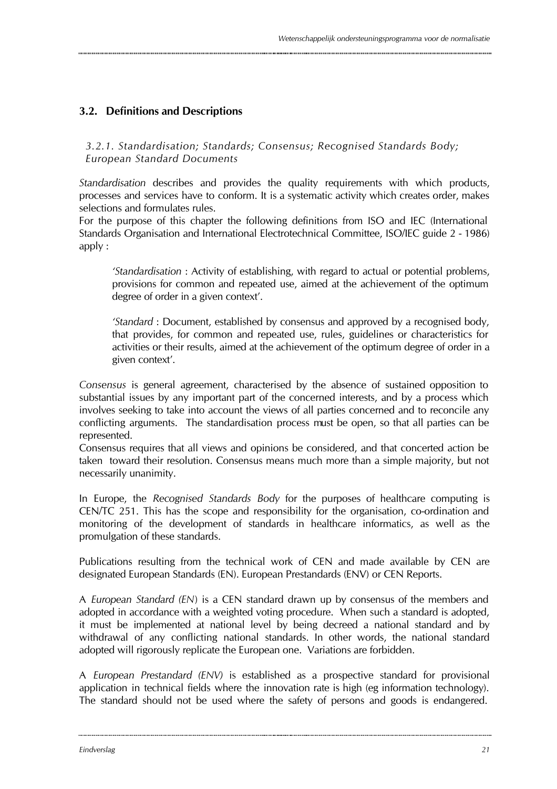### **3.2. Definitions and Descriptions**

*3.2.1. Standardisation; Standards; Consensus; Recognised Standards Body; European Standard Documents*

*Standardisation* describes and provides the quality requirements with which products, processes and services have to conform. It is a systematic activity which creates order, makes selections and formulates rules.

For the purpose of this chapter the following definitions from ISO and IEC (International Standards Organisation and International Electrotechnical Committee, ISO/IEC guide 2 - 1986) apply :

*'Standardisation* : Activity of establishing, with regard to actual or potential problems, provisions for common and repeated use, aimed at the achievement of the optimum degree of order in a given context'.

*'Standard* : Document, established by consensus and approved by a recognised body, that provides, for common and repeated use, rules, guidelines or characteristics for activities or their results, aimed at the achievement of the optimum degree of order in a given context'.

*Consensus* is general agreement, characterised by the absence of sustained opposition to substantial issues by any important part of the concerned interests, and by a process which involves seeking to take into account the views of all parties concerned and to reconcile any conflicting arguments. The standardisation process must be open, so that all parties can be represented.

Consensus requires that all views and opinions be considered, and that concerted action be taken toward their resolution. Consensus means much more than a simple majority, but not necessarily unanimity.

In Europe, the *Recognised Standards Body* for the purposes of healthcare computing is CEN/TC 251. This has the scope and responsibility for the organisation, co-ordination and monitoring of the development of standards in healthcare informatics, as well as the promulgation of these standards.

Publications resulting from the technical work of CEN and made available by CEN are designated European Standards (EN). European Prestandards (ENV) or CEN Reports.

A *European Standard (EN*) is a CEN standard drawn up by consensus of the members and adopted in accordance with a weighted voting procedure. When such a standard is adopted, it must be implemented at national level by being decreed a national standard and by withdrawal of any conflicting national standards. In other words, the national standard adopted will rigorously replicate the European one. Variations are forbidden.

A *European Prestandard (ENV)* is established as a prospective standard for provisional application in technical fields where the innovation rate is high (eg information technology). The standard should not be used where the safety of persons and goods is endangered.

.............................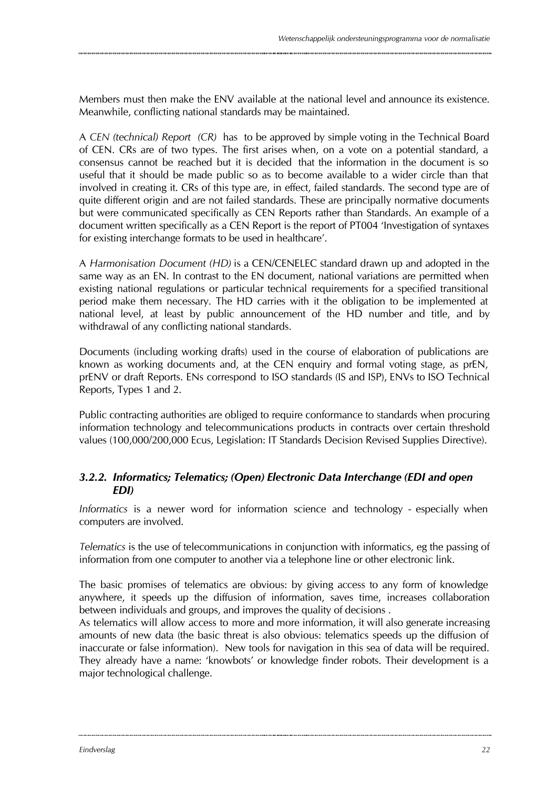Members must then make the ENV available at the national level and announce its existence. Meanwhile, conflicting national standards may be maintained.

A *CEN (technical) Report (CR)* has to be approved by simple voting in the Technical Board of CEN. CRs are of two types. The first arises when, on a vote on a potential standard, a consensus cannot be reached but it is decided that the information in the document is so useful that it should be made public so as to become available to a wider circle than that involved in creating it. CRs of this type are, in effect, failed standards. The second type are of quite different origin and are not failed standards. These are principally normative documents but were communicated specifically as CEN Reports rather than Standards. An example of a document written specifically as a CEN Report is the report of PT004 'Investigation of syntaxes for existing interchange formats to be used in healthcare'.

A *Harmonisation Document (HD)* is a CEN/CENELEC standard drawn up and adopted in the same way as an EN. In contrast to the EN document, national variations are permitted when existing national regulations or particular technical requirements for a specified transitional period make them necessary. The HD carries with it the obligation to be implemented at national level, at least by public announcement of the HD number and title, and by withdrawal of any conflicting national standards.

Documents (including working drafts) used in the course of elaboration of publications are known as working documents and, at the CEN enquiry and formal voting stage, as prEN, prENV or draft Reports. ENs correspond to ISO standards (IS and ISP), ENVs to ISO Technical Reports, Types 1 and 2.

Public contracting authorities are obliged to require conformance to standards when procuring information technology and telecommunications products in contracts over certain threshold values (100,000/200,000 Ecus, Legislation: IT Standards Decision Revised Supplies Directive).

### *3.2.2. Informatics; Telematics; (Open) Electronic Data Interchange (EDI and open EDI)*

*Informatics* is a newer word for information science and technology - especially when computers are involved.

*Telematics* is the use of telecommunications in conjunction with informatics, eg the passing of information from one computer to another via a telephone line or other electronic link.

The basic promises of telematics are obvious: by giving access to any form of knowledge anywhere, it speeds up the diffusion of information, saves time, increases collaboration between individuals and groups, and improves the quality of decisions .

As telematics will allow access to more and more information, it will also generate increasing amounts of new data (the basic threat is also obvious: telematics speeds up the diffusion of inaccurate or false information). New tools for navigation in this sea of data will be required. They already have a name: 'knowbots' or knowledge finder robots. Their development is a major technological challenge.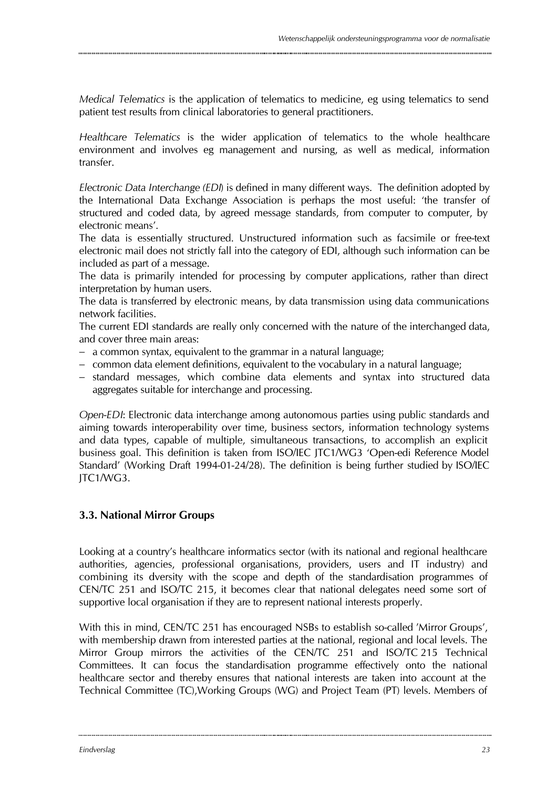*Medical Telematics* is the application of telematics to medicine, eg using telematics to send patient test results from clinical laboratories to general practitioners.

*Healthcare Telematics* is the wider application of telematics to the whole healthcare environment and involves eg management and nursing, as well as medical, information transfer.

*Electronic Data Interchange (EDI*) is defined in many different ways. The definition adopted by the International Data Exchange Association is perhaps the most useful: 'the transfer of structured and coded data, by agreed message standards, from computer to computer, by electronic means'.

The data is essentially structured. Unstructured information such as facsimile or free-text electronic mail does not strictly fall into the category of EDI, although such information can be included as part of a message.

The data is primarily intended for processing by computer applications, rather than direct interpretation by human users.

The data is transferred by electronic means, by data transmission using data communications network facilities.

The current EDI standards are really only concerned with the nature of the interchanged data, and cover three main areas:

- − a common syntax, equivalent to the grammar in a natural language;
- − common data element definitions, equivalent to the vocabulary in a natural language;
- − standard messages, which combine data elements and syntax into structured data aggregates suitable for interchange and processing.

*Open-EDI*: Electronic data interchange among autonomous parties using public standards and aiming towards interoperability over time, business sectors, information technology systems and data types, capable of multiple, simultaneous transactions, to accomplish an explicit business goal. This definition is taken from ISO/IEC JTC1/WG3 'Open-edi Reference Model Standard' (Working Draft 1994-01-24/28). The definition is being further studied by ISO/IEC JTC1/WG3.

### **3.3. National Mirror Groups**

Looking at a country's healthcare informatics sector (with its national and regional healthcare authorities, agencies, professional organisations, providers, users and IT industry) and combining its diversity with the scope and depth of the standardisation programmes of CEN/TC 251 and ISO/TC 215, it becomes clear that national delegates need some sort of supportive local organisation if they are to represent national interests properly.

With this in mind, CEN/TC 251 has encouraged NSBs to establish so-called 'Mirror Groups', with membership drawn from interested parties at the national, regional and local levels. The Mirror Group mirrors the activities of the CEN/TC 251 and ISO/TC 215 Technical Committees. It can focus the standardisation programme effectively onto the national healthcare sector and thereby ensures that national interests are taken into account at the Technical Committee (TC),Working Groups (WG) and Project Team (PT) levels. Members of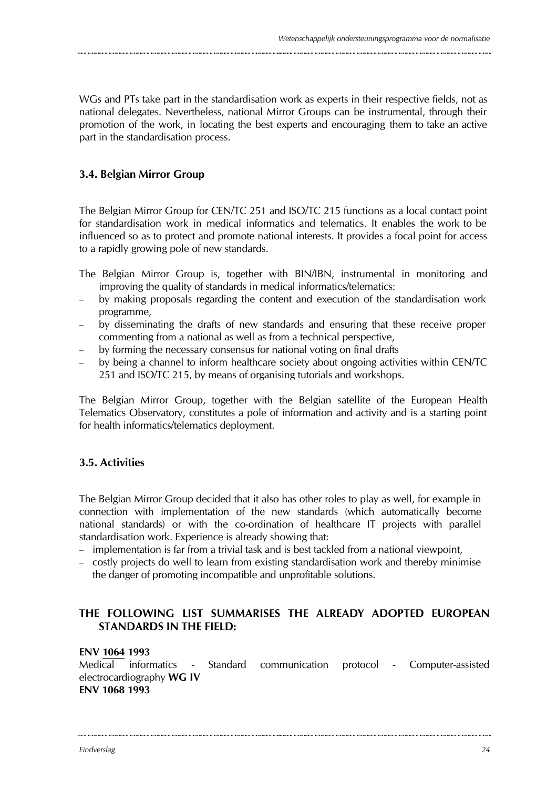WGs and PTs take part in the standardisation work as experts in their respective fields, not as national delegates. Nevertheless, national Mirror Groups can be instrumental, through their promotion of the work, in locating the best experts and encouraging them to take an active part in the standardisation process.

### **3.4. Belgian Mirror Group**

The Belgian Mirror Group for CEN/TC 251 and ISO/TC 215 functions as a local contact point for standardisation work in medical informatics and telematics. It enables the work to be influenced so as to protect and promote national interests. It provides a focal point for access to a rapidly growing pole of new standards.

- The Belgian Mirror Group is, together with BIN/IBN, instrumental in monitoring and improving the quality of standards in medical informatics/telematics:
- − by making proposals regarding the content and execution of the standardisation work programme,
- − by disseminating the drafts of new standards and ensuring that these receive proper commenting from a national as well as from a technical perspective,
- − by forming the necessary consensus for national voting on final drafts
- − by being a channel to inform healthcare society about ongoing activities within CEN/TC 251 and ISO/TC 215, by means of organising tutorials and workshops.

The Belgian Mirror Group, together with the Belgian satellite of the European Health Telematics Observatory, constitutes a pole of information and activity and is a starting point for health informatics/telematics deployment.

### **3.5. Activities**

The Belgian Mirror Group decided that it also has other roles to play as well, for example in connection with implementation of the new standards (which automatically become national standards) or with the co-ordination of healthcare IT projects with parallel standardisation work. Experience is already showing that:

- − implementation is far from a trivial task and is best tackled from a national viewpoint,
- − costly projects do well to learn from existing standardisation work and thereby minimise the danger of promoting incompatible and unprofitable solutions.

### **THE FOLLOWING LIST SUMMARISES THE ALREADY ADOPTED EUROPEAN STANDARDS IN THE FIELD:**

#### **ENV 1064 1993**

Medical informatics - Standard communication protocol - Computer-assisted electrocardiography **WG IV ENV 1068 1993**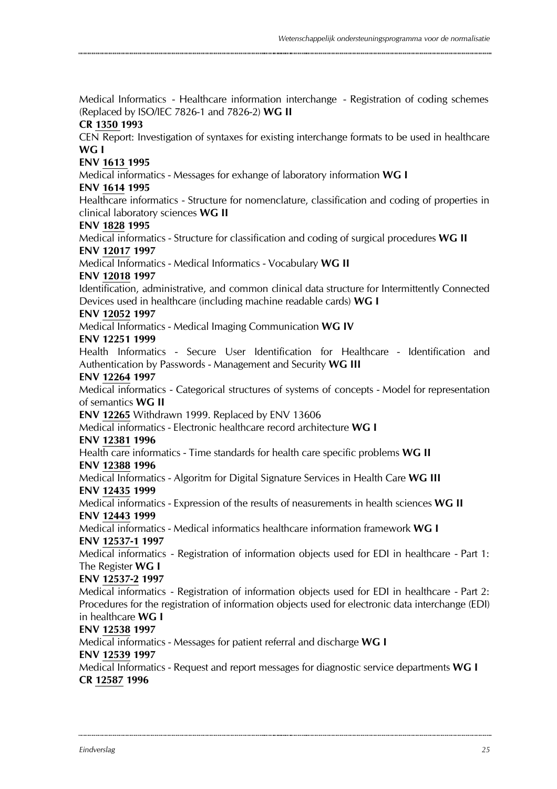Medical Informatics - Healthcare information interchange - Registration of coding schemes (Replaced by ISO/IEC 7826-1 and 7826-2) **WG II CR 1350 1993** CEN Report: Investigation of syntaxes for existing interchange formats to be used in healthcare **WG I ENV 1613 1995** Medical informatics - Messages for exhange of laboratory information **WG I ENV 1614 1995** Healthcare informatics - Structure for nomenclature, classification and coding of properties in clinical laboratory sciences **WG II ENV 1828 1995** Medical informatics - Structure for classification and coding of surgical procedures **WG II ENV 12017 1997** Medical Informatics - Medical Informatics - Vocabulary **WG II ENV 12018 1997** Identification, administrative, and common clinical data structure for Intermittently Connected Devices used in healthcare (including machine readable cards) **WG I ENV 12052 1997** Medical Informatics - Medical Imaging Communication **WG IV ENV 12251 1999** Health Informatics - Secure User Identification for Healthcare - Identification and Authentication by Passwords - Management and Security **WG III ENV 12264 1997** Medical informatics - Categorical structures of systems of concepts - Model for representation of semantics **WG II ENV 12265** Withdrawn 1999. Replaced by ENV 13606 Medical informatics - Electronic healthcare record architecture **WG I ENV 12381 1996** Health care informatics - Time standards for health care specific problems **WG II ENV 12388 1996** Medical Informatics - Algoritm for Digital Signature Services in Health Care **WG III ENV 12435 1999** Medical informatics - Expression of the results of neasurements in health sciences **WG II ENV 12443 1999** Medical informatics - Medical informatics healthcare information framework **WG I ENV 12537-1 1997** Medical informatics - Registration of information objects used for EDI in healthcare - Part 1: The Register **WG I ENV 12537-2 1997** Medical informatics - Registration of information objects used for EDI in healthcare - Part 2: Procedures for the registration of information objects used for electronic data interchange (EDI) in healthcare **WG I ENV 12538 1997** Medical informatics - Messages for patient referral and discharge **WG I ENV 12539 1997** Medical Informatics - Request and report messages for diagnostic service departments **WG I CR 12587 1996**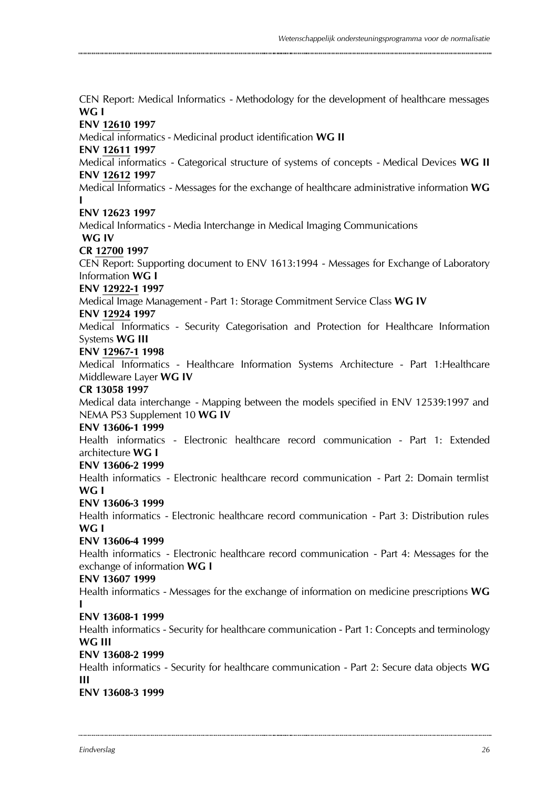CEN Report: Medical Informatics - Methodology for the development of healthcare messages **WG I ENV 12610 1997** Medical informatics - Medicinal product identification **WG II ENV 12611 1997** Medical informatics - Categorical structure of systems of concepts - Medical Devices **WG II ENV 12612 1997** Medical Informatics - Messages for the exchange of healthcare administrative information **WG I ENV 12623 1997** Medical Informatics - Media Interchange in Medical Imaging Communications **WG IV CR 12700 1997** CEN Report: Supporting document to ENV 1613:1994 - Messages for Exchange of Laboratory Information **WG I ENV 12922-1 1997** Medical Image Management - Part 1: Storage Commitment Service Class **WG IV ENV 12924 1997** Medical Informatics - Security Categorisation and Protection for Healthcare Information Systems **WG III ENV 12967-1 1998** Medical Informatics - Healthcare Information Systems Architecture - Part 1:Healthcare Middleware Layer **WG IV CR 13058 1997** Medical data interchange - Mapping between the models specified in ENV 12539:1997 and NEMA PS3 Supplement 10 **WG IV ENV 13606-1 1999** Health informatics - Electronic healthcare record communication - Part 1: Extended architecture **WG I ENV 13606-2 1999** Health informatics - Electronic healthcare record communication - Part 2: Domain termlist **WG I ENV 13606-3 1999** Health informatics - Electronic healthcare record communication - Part 3: Distribution rules **WG I ENV 13606-4 1999** Health informatics - Electronic healthcare record communication - Part 4: Messages for the exchange of information **WG I ENV 13607 1999** Health informatics - Messages for the exchange of information on medicine prescriptions **WG I ENV 13608-1 1999** Health informatics - Security for healthcare communication - Part 1: Concepts and terminology **WG III ENV 13608-2 1999** Health informatics - Security for healthcare communication - Part 2: Secure data objects **WG III ENV 13608-3 1999**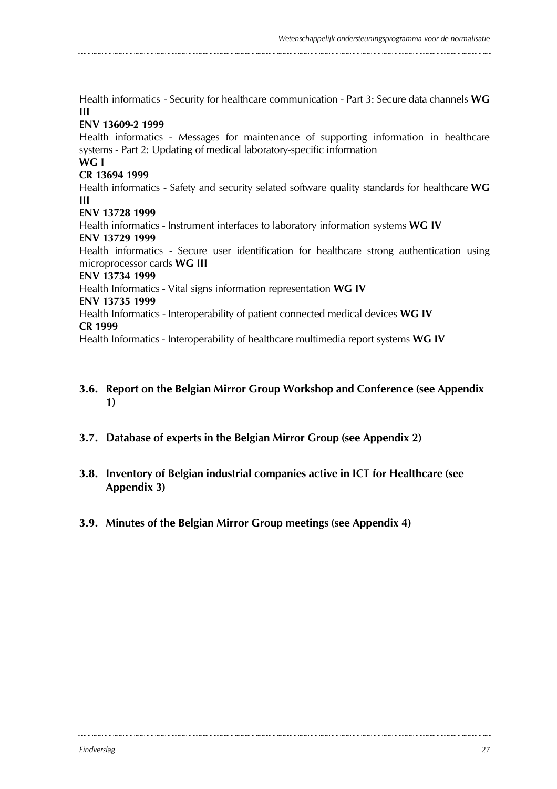Health informatics - Security for healthcare communication - Part 3: Secure data channels **WG III**

#### **ENV 13609-2 1999**

Health informatics - Messages for maintenance of supporting information in healthcare systems - Part 2: Updating of medical laboratory-specific information

#### **WG I CR 13694 1999**

Health informatics - Safety and security selated software quality standards for healthcare **WG III**

#### **ENV 13728 1999**

Health informatics - Instrument interfaces to laboratory information systems **WG IV ENV 13729 1999**

Health informatics - Secure user identification for healthcare strong authentication using microprocessor cards **WG III**

#### **ENV 13734 1999**

Health Informatics - Vital signs information representation **WG IV**

#### **ENV 13735 1999**

Health Informatics - Interoperability of patient connected medical devices **WG IV CR 1999**

Health Informatics - Interoperability of healthcare multimedia report systems **WG IV**

### **3.6. Report on the Belgian Mirror Group Workshop and Conference (see Appendix 1)**

- **3.7. Database of experts in the Belgian Mirror Group (see Appendix 2)**
- **3.8. Inventory of Belgian industrial companies active in ICT for Healthcare (see Appendix 3)**
- **3.9. Minutes of the Belgian Mirror Group meetings (see Appendix 4)**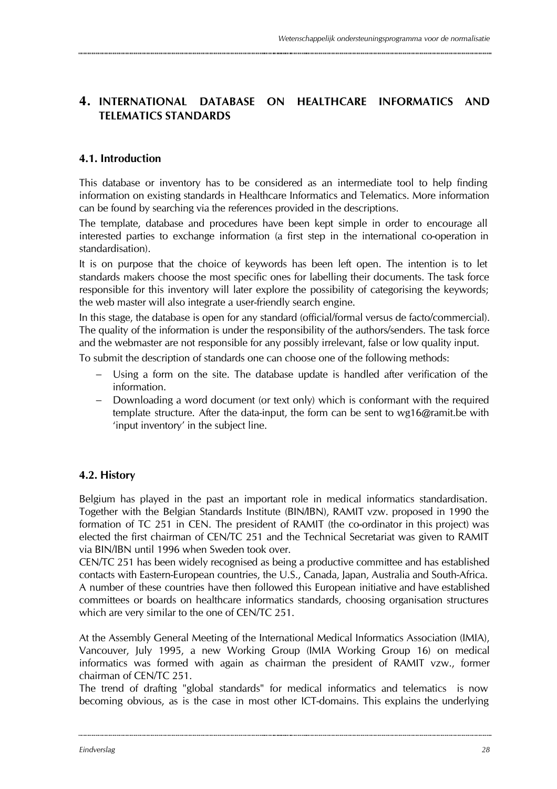### **4. INTERNATIONAL DATABASE ON HEALTHCARE INFORMATICS AND TELEMATICS STANDARDS**

### **4.1. Introduction**

This database or inventory has to be considered as an intermediate tool to help finding information on existing standards in Healthcare Informatics and Telematics. More information can be found by searching via the references provided in the descriptions.

The template, database and procedures have been kept simple in order to encourage all interested parties to exchange information (a first step in the international co-operation in standardisation).

It is on purpose that the choice of keywords has been left open. The intention is to let standards makers choose the most specific ones for labelling their documents. The task force responsible for this inventory will later explore the possibility of categorising the keywords; the web master will also integrate a user-friendly search engine.

In this stage, the database is open for any standard (official/formal versus de facto/commercial). The quality of the information is under the responsibility of the authors/senders. The task force and the webmaster are not responsible for any possibly irrelevant, false or low quality input.

To submit the description of standards one can choose one of the following methods:

- − Using a form on the site. The database update is handled after verification of the information.
- Downloading a word document (or text only) which is conformant with the required template structure. After the data-input, the form can be sent to wg16@ramit.be with 'input inventory' in the subject line.

### **4.2. History**

Belgium has played in the past an important role in medical informatics standardisation. Together with the Belgian Standards Institute (BIN/IBN), RAMIT vzw. proposed in 1990 the formation of TC 251 in CEN. The president of RAMIT (the co-ordinator in this project) was elected the first chairman of CEN/TC 251 and the Technical Secretariat was given to RAMIT via BIN/IBN until 1996 when Sweden took over.

CEN/TC 251 has been widely recognised as being a productive committee and has established contacts with Eastern-European countries, the U.S., Canada, Japan, Australia and South-Africa. A number of these countries have then followed this European initiative and have established committees or boards on healthcare informatics standards, choosing organisation structures which are very similar to the one of CEN/TC 251.

At the Assembly General Meeting of the International Medical Informatics Association (IMIA), Vancouver, July 1995, a new Working Group (IMIA Working Group 16) on medical informatics was formed with again as chairman the president of RAMIT vzw., former chairman of CEN/TC 251.

The trend of drafting "global standards" for medical informatics and telematics is now becoming obvious, as is the case in most other ICT-domains. This explains the underlying

.............................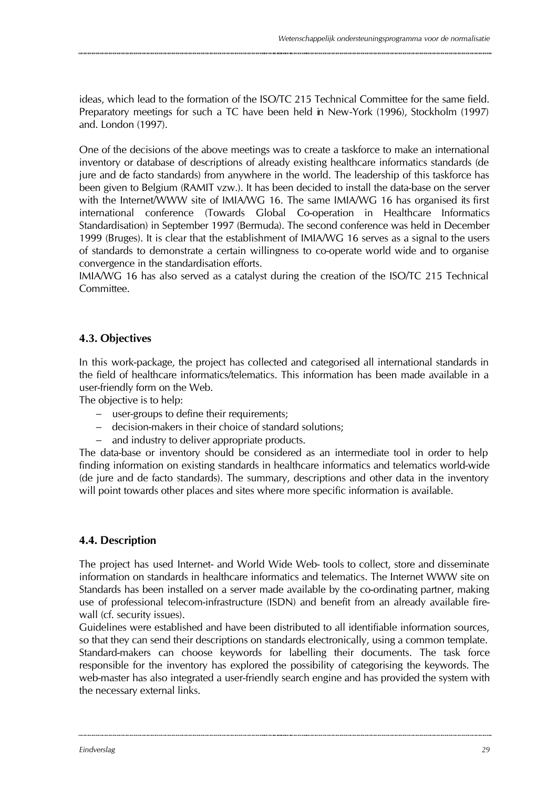ideas, which lead to the formation of the ISO/TC 215 Technical Committee for the same field. Preparatory meetings for such a TC have been held in New-York (1996), Stockholm (1997) and. London (1997).

One of the decisions of the above meetings was to create a taskforce to make an international inventory or database of descriptions of already existing healthcare informatics standards (de jure and de facto standards) from anywhere in the world. The leadership of this taskforce has been given to Belgium (RAMIT vzw.). It has been decided to install the data-base on the server with the Internet/WWW site of IMIA/WG 16. The same IMIA/WG 16 has organised its first international conference (Towards Global Co-operation in Healthcare Informatics Standardisation) in September 1997 (Bermuda). The second conference was held in December 1999 (Bruges). It is clear that the establishment of IMIA/WG 16 serves as a signal to the users of standards to demonstrate a certain willingness to co-operate world wide and to organise convergence in the standardisation efforts.

IMIA/WG 16 has also served as a catalyst during the creation of the ISO/TC 215 Technical Committee.

### **4.3. Objectives**

In this work-package, the project has collected and categorised all international standards in the field of healthcare informatics/telematics. This information has been made available in a user-friendly form on the Web.

The objective is to help:

- − user-groups to define their requirements;
- − decision-makers in their choice of standard solutions;
- − and industry to deliver appropriate products.

The data-base or inventory should be considered as an intermediate tool in order to help finding information on existing standards in healthcare informatics and telematics world-wide (de jure and de facto standards). The summary, descriptions and other data in the inventory will point towards other places and sites where more specific information is available.

### **4.4. Description**

The project has used Internet- and World Wide Web- tools to collect, store and disseminate information on standards in healthcare informatics and telematics. The Internet WWW site on Standards has been installed on a server made available by the co-ordinating partner, making use of professional telecom-infrastructure (ISDN) and benefit from an already available firewall (cf. security issues).

Guidelines were established and have been distributed to all identifiable information sources, so that they can send their descriptions on standards electronically, using a common template. Standard-makers can choose keywords for labelling their documents. The task force responsible for the inventory has explored the possibility of categorising the keywords. The web-master has also integrated a user-friendly search engine and has provided the system with the necessary external links.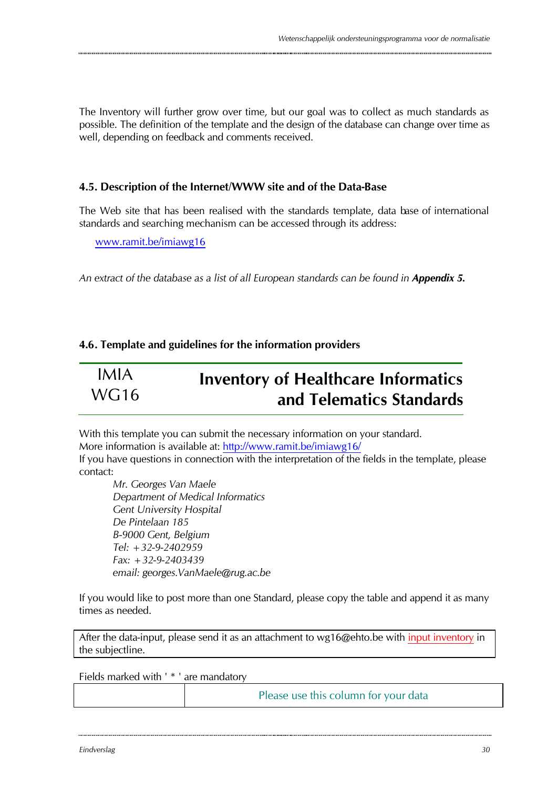The Inventory will further grow over time, but our goal was to collect as much standards as possible. The definition of the template and the design of the database can change over time as well, depending on feedback and comments received.

### **4.5. Description of the Internet/WWW site and of the Data-Base**

The Web site that has been realised with the standards template, data base of international standards and searching mechanism can be accessed through its address:

www.ramit.be/imiawg16

An extract of the database as a list of all European standards can be found in **Appendix 5.** 

### **4.6. Template and guidelines for the information providers**

| IMIA             | <b>Inventory of Healthcare Informatics</b> |
|------------------|--------------------------------------------|
| WG <sub>16</sub> | and Telematics Standards                   |

With this template you can submit the necessary information on your standard. More information is available at: http://www.ramit.be/imiawg16/ If you have questions in connection with the interpretation of the fields in the template, please contact:

*Mr. Georges Van Maele Department of Medical Informatics Gent University Hospital De Pintelaan 185 B-9000 Gent, Belgium Tel: +32-9-2402959 Fax: +32-9-2403439 email: georges.VanMaele@rug.ac.be*

If you would like to post more than one Standard, please copy the table and append it as many times as needed.

After the data-input, please send it as an attachment to wg16@ehto.be with input inventory in the subjectline.

Fields marked with ' \* ' are mandatory

Please use this column for your data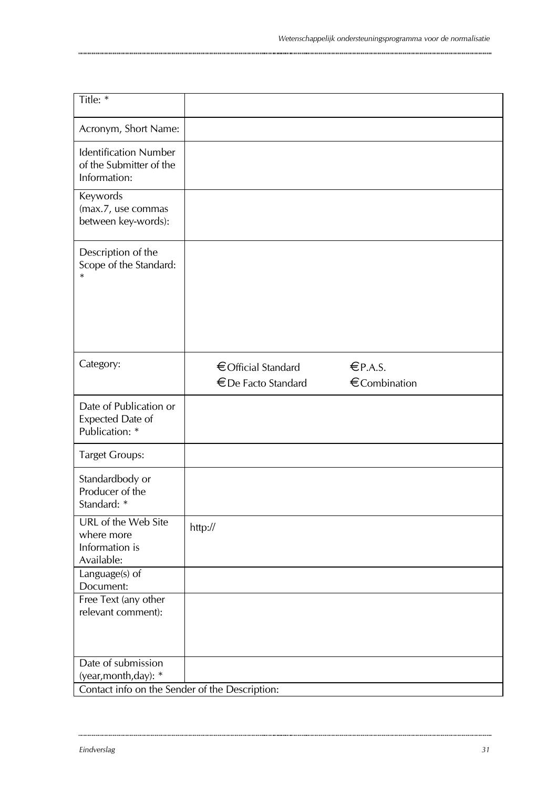| Title: *                                                                |                                            |                        |
|-------------------------------------------------------------------------|--------------------------------------------|------------------------|
| Acronym, Short Name:                                                    |                                            |                        |
| <b>Identification Number</b><br>of the Submitter of the<br>Information: |                                            |                        |
| Keywords<br>(max.7, use commas<br>between key-words):                   |                                            |                        |
| Description of the<br>Scope of the Standard:<br>$\ast$                  |                                            |                        |
| Category:                                                               | € Official Standard<br>€ De Facto Standard | EPA.S.<br>€Combination |
| Date of Publication or<br>Expected Date of<br>Publication: *            |                                            |                        |
| <b>Target Groups:</b>                                                   |                                            |                        |
| Standardbody or<br>Producer of the<br>Standard: *                       |                                            |                        |
| URL of the Web Site<br>where more<br>Information is<br>Available:       | http://                                    |                        |
| Language(s) of<br>Document:                                             |                                            |                        |
| Free Text (any other<br>relevant comment):                              |                                            |                        |
| Date of submission                                                      |                                            |                        |
| (year, month, day): *<br>Contact info on the Sender of the Description: |                                            |                        |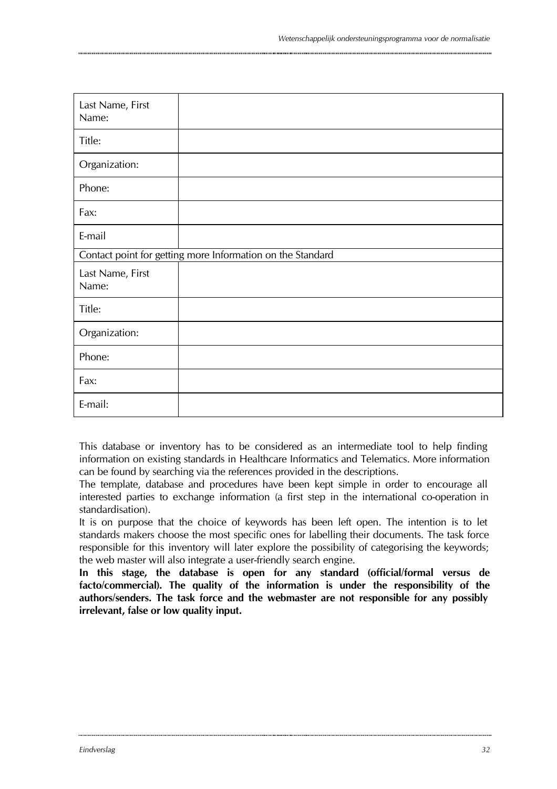| Last Name, First<br>Name:                                  |  |
|------------------------------------------------------------|--|
| Title:                                                     |  |
| Organization:                                              |  |
| Phone:                                                     |  |
| Fax:                                                       |  |
| E-mail                                                     |  |
| Contact point for getting more Information on the Standard |  |
| Last Name, First<br>Name:                                  |  |
| Title:                                                     |  |
| Organization:                                              |  |
| Phone:                                                     |  |
| Fax:                                                       |  |
| E-mail:                                                    |  |

This database or inventory has to be considered as an intermediate tool to help finding information on existing standards in Healthcare Informatics and Telematics. More information can be found by searching via the references provided in the descriptions.

The template, database and procedures have been kept simple in order to encourage all interested parties to exchange information (a first step in the international co-operation in standardisation).

It is on purpose that the choice of keywords has been left open. The intention is to let standards makers choose the most specific ones for labelling their documents. The task force responsible for this inventory will later explore the possibility of categorising the keywords; the web master will also integrate a user-friendly search engine.

**In this stage, the database is open for any standard (official/formal versus de facto/commercial). The quality of the information is under the responsibility of the authors/senders. The task force and the webmaster are not responsible for any possibly irrelevant, false or low quality input.**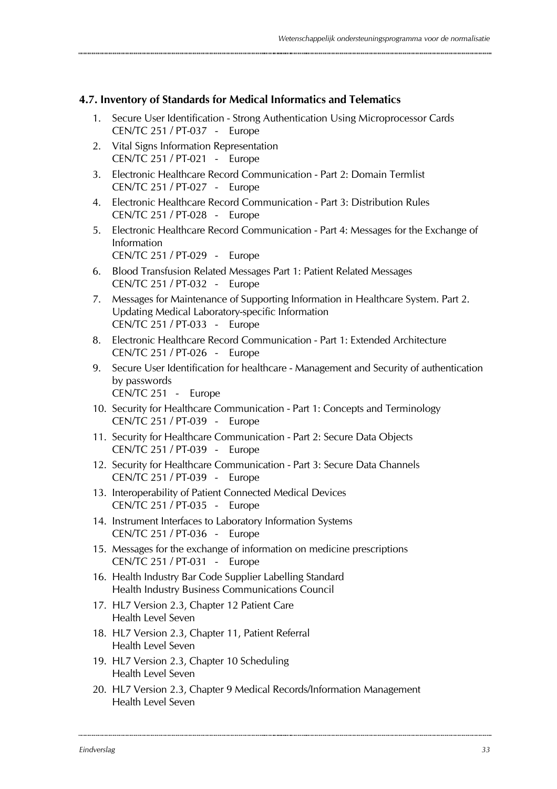#### **4.7. Inventory of Standards for Medical Informatics and Telematics**

- 1. Secure User Identification Strong Authentication Using Microprocessor Cards CEN/TC 251 / PT-037 - Europe
- 2. Vital Signs Information Representation CEN/TC 251 / PT-021 - Europe
- 3. Electronic Healthcare Record Communication Part 2: Domain Termlist CEN/TC 251 / PT-027 - Europe
- 4. Electronic Healthcare Record Communication Part 3: Distribution Rules CEN/TC 251 / PT-028 - Europe
- 5. Electronic Healthcare Record Communication Part 4: Messages for the Exchange of Information CEN/TC 251 / PT-029 - Europe
- 6. Blood Transfusion Related Messages Part 1: Patient Related Messages CEN/TC 251 / PT-032 - Europe
- 7. Messages for Maintenance of Supporting Information in Healthcare System. Part 2. Updating Medical Laboratory-specific Information CEN/TC 251 / PT-033 - Europe
- 8. Electronic Healthcare Record Communication Part 1: Extended Architecture CEN/TC 251 / PT-026 - Europe
- 9. Secure User Identification for healthcare Management and Security of authentication by passwords CEN/TC 251 - Europe
- 10. Security for Healthcare Communication Part 1: Concepts and Terminology CEN/TC 251 / PT-039 - Europe
- 11. Security for Healthcare Communication Part 2: Secure Data Objects CEN/TC 251 / PT-039 - Europe
- 12. Security for Healthcare Communication Part 3: Secure Data Channels CEN/TC 251 / PT-039 - Europe
- 13. Interoperability of Patient Connected Medical Devices CEN/TC 251 / PT-035 - Europe
- 14. Instrument Interfaces to Laboratory Information Systems CEN/TC 251 / PT-036 - Europe
- 15. Messages for the exchange of information on medicine prescriptions CEN/TC 251 / PT-031 - Europe
- 16. Health Industry Bar Code Supplier Labelling Standard Health Industry Business Communications Council
- 17. HL7 Version 2.3, Chapter 12 Patient Care Health Level Seven
- 18. HL7 Version 2.3, Chapter 11, Patient Referral Health Level Seven
- 19. HL7 Version 2.3, Chapter 10 Scheduling Health Level Seven
- 20. HL7 Version 2.3, Chapter 9 Medical Records/Information Management Health Level Seven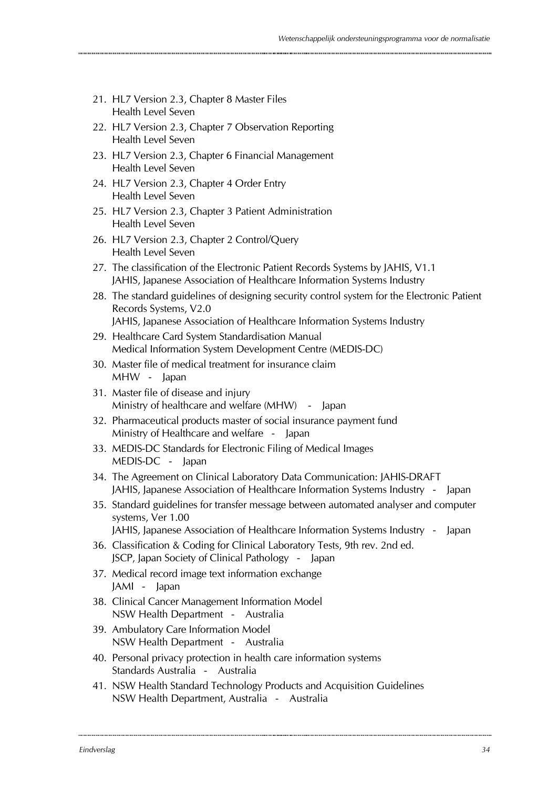- 21. HL7 Version 2.3, Chapter 8 Master Files Health Level Seven
- 22. HL7 Version 2.3, Chapter 7 Observation Reporting Health Level Seven
- 23. HL7 Version 2.3, Chapter 6 Financial Management Health Level Seven
- 24. HL7 Version 2.3, Chapter 4 Order Entry Health Level Seven
- 25. HL7 Version 2.3, Chapter 3 Patient Administration Health Level Seven
- 26. HL7 Version 2.3, Chapter 2 Control/Query Health Level Seven
- 27. The classification of the Electronic Patient Records Systems by JAHIS, V1.1 JAHIS, Japanese Association of Healthcare Information Systems Industry
- 28. The standard guidelines of designing security control system for the Electronic Patient Records Systems, V2.0 JAHIS, Japanese Association of Healthcare Information Systems Industry
- 29. Healthcare Card System Standardisation Manual Medical Information System Development Centre (MEDIS-DC)
- 30. Master file of medical treatment for insurance claim MHW - Japan
- 31. Master file of disease and injury Ministry of healthcare and welfare (MHW) - Japan
- 32. Pharmaceutical products master of social insurance payment fund Ministry of Healthcare and welfare - Japan
- 33. MEDIS-DC Standards for Electronic Filing of Medical Images MEDIS-DC - Japan
- 34. The Agreement on Clinical Laboratory Data Communication: JAHIS-DRAFT JAHIS, Japanese Association of Healthcare Information Systems Industry - Japan
- 35. Standard guidelines for transfer message between automated analyser and computer systems, Ver 1.00

JAHIS, Japanese Association of Healthcare Information Systems Industry - Japan

- 36. Classification & Coding for Clinical Laboratory Tests, 9th rev. 2nd ed. JSCP, Japan Society of Clinical Pathology - Japan
- 37. Medical record image text information exchange JAMI - Japan
- 38. Clinical Cancer Management Information Model NSW Health Department - Australia
- 39. Ambulatory Care Information Model NSW Health Department - Australia
- 40. Personal privacy protection in health care information systems Standards Australia - Australia
- 41. NSW Health Standard Technology Products and Acquisition Guidelines NSW Health Department, Australia - Australia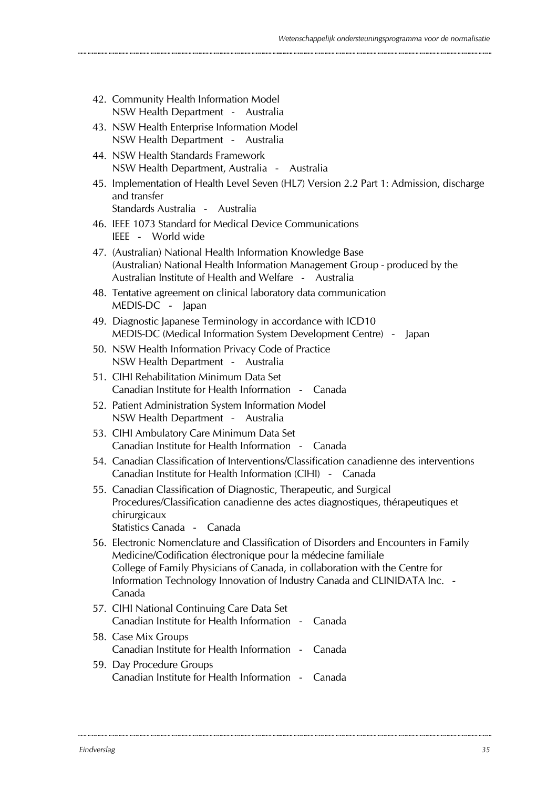- 42. Community Health Information Model NSW Health Department - Australia
- 43. NSW Health Enterprise Information Model NSW Health Department - Australia
- 44. NSW Health Standards Framework NSW Health Department, Australia - Australia
- 45. Implementation of Health Level Seven (HL7) Version 2.2 Part 1: Admission, discharge and transfer Standards Australia - Australia
- 46. IEEE 1073 Standard for Medical Device Communications
	- IEEE World wide
- 47. (Australian) National Health Information Knowledge Base (Australian) National Health Information Management Group - produced by the Australian Institute of Health and Welfare - Australia
- 48. Tentative agreement on clinical laboratory data communication MEDIS-DC - Japan
- 49. Diagnostic Japanese Terminology in accordance with ICD10 MEDIS-DC (Medical Information System Development Centre) - Japan
- 50. NSW Health Information Privacy Code of Practice NSW Health Department - Australia
- 51. CIHI Rehabilitation Minimum Data Set Canadian Institute for Health Information - Canada
- 52. Patient Administration System Information Model NSW Health Department - Australia
- 53. CIHI Ambulatory Care Minimum Data Set Canadian Institute for Health Information - Canada
- 54. Canadian Classification of Interventions/Classification canadienne des interventions Canadian Institute for Health Information (CIHI) - Canada
- 55. Canadian Classification of Diagnostic, Therapeutic, and Surgical Procedures/Classification canadienne des actes diagnostiques, thérapeutiques et chirurgicaux

Statistics Canada - Canada

- 56. Electronic Nomenclature and Classification of Disorders and Encounters in Family Medicine/Codification électronique pour la médecine familiale College of Family Physicians of Canada, in collaboration with the Centre for Information Technology Innovation of Industry Canada and CLINIDATA Inc. - Canada
- 57. CIHI National Continuing Care Data Set Canadian Institute for Health Information - Canada 58. Case Mix Groups Canadian Institute for Health Information - Canada
- 59. Day Procedure Groups Canadian Institute for Health Information - Canada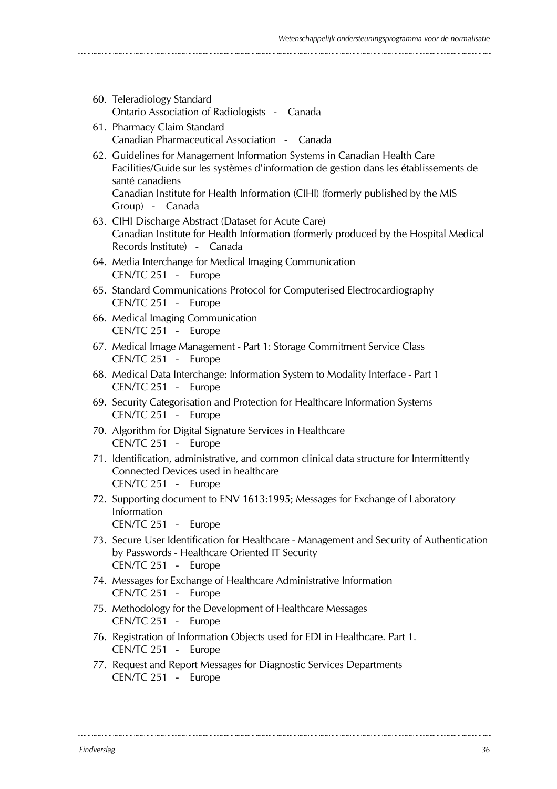- 60. Teleradiology Standard Ontario Association of Radiologists - Canada
- 61. Pharmacy Claim Standard Canadian Pharmaceutical Association - Canada
- 62. Guidelines for Management Information Systems in Canadian Health Care Facilities/Guide sur les systèmes d'information de gestion dans les établissements de santé canadiens Canadian Institute for Health Information (CIHI) (formerly published by the MIS Group) - Canada
- 63. CIHI Discharge Abstract (Dataset for Acute Care) Canadian Institute for Health Information (formerly produced by the Hospital Medical Records Institute) - Canada
- 64. Media Interchange for Medical Imaging Communication CEN/TC 251 - Europe
- 65. Standard Communications Protocol for Computerised Electrocardiography CEN/TC 251 - Europe
- 66. Medical Imaging Communication CEN/TC 251 - Europe
- 67. Medical Image Management Part 1: Storage Commitment Service Class CEN/TC 251 - Europe
- 68. Medical Data Interchange: Information System to Modality Interface Part 1 CEN/TC 251 - Europe
- 69. Security Categorisation and Protection for Healthcare Information Systems CEN/TC 251 - Europe
- 70. Algorithm for Digital Signature Services in Healthcare CEN/TC 251 - Europe
- 71. Identification, administrative, and common clinical data structure for Intermittently Connected Devices used in healthcare CEN/TC 251 - Europe
- 72. Supporting document to ENV 1613:1995; Messages for Exchange of Laboratory Information

CEN/TC 251 - Europe

- 73. Secure User Identification for Healthcare Management and Security of Authentication by Passwords - Healthcare Oriented IT Security CEN/TC 251 - Europe
- 74. Messages for Exchange of Healthcare Administrative Information CEN/TC 251 - Europe
- 75. Methodology for the Development of Healthcare Messages CEN/TC 251 - Europe
- 76. Registration of Information Objects used for EDI in Healthcare. Part 1. CEN/TC 251 - Europe
- 77. Request and Report Messages for Diagnostic Services Departments CEN/TC 251 - Europe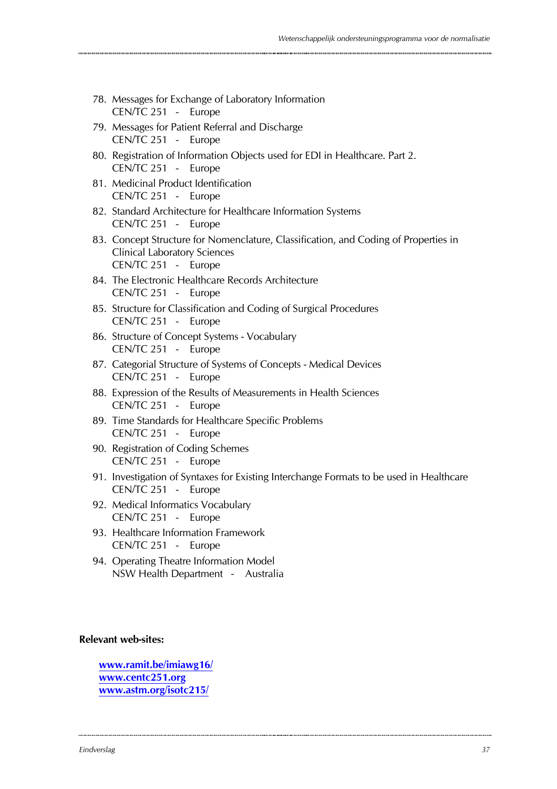| 78. Messages for Exchange of Laboratory Information<br>CEN/TC 251 - Europe                                                                        |
|---------------------------------------------------------------------------------------------------------------------------------------------------|
| 79. Messages for Patient Referral and Discharge<br>CEN/TC 251 - Europe                                                                            |
| 80. Registration of Information Objects used for EDI in Healthcare. Part 2.<br>CEN/TC 251 - Europe                                                |
| 81. Medicinal Product Identification<br>CEN/TC 251 - Europe                                                                                       |
| 82. Standard Architecture for Healthcare Information Systems<br>CEN/TC 251 - Europe                                                               |
| 83. Concept Structure for Nomenclature, Classification, and Coding of Properties in<br><b>Clinical Laboratory Sciences</b><br>CEN/TC 251 - Europe |
| 84. The Electronic Healthcare Records Architecture<br>CEN/TC 251 - Europe                                                                         |
| 85. Structure for Classification and Coding of Surgical Procedures<br>CEN/TC 251 - Europe                                                         |
| 86. Structure of Concept Systems - Vocabulary<br>CEN/TC 251 - Europe                                                                              |
| 87. Categorial Structure of Systems of Concepts - Medical Devices<br>CEN/TC 251 - Europe                                                          |
| 88. Expression of the Results of Measurements in Health Sciences<br>CEN/TC 251 - Europe                                                           |
| 89. Time Standards for Healthcare Specific Problems<br>CEN/TC 251 - Europe                                                                        |
| 90. Registration of Coding Schemes<br>CEN/TC 251 - Europe                                                                                         |
| 91. Investigation of Syntaxes for Existing Interchange Formats to be used in Healthcare<br>CEN/TC 251 - Europe                                    |
| 92. Medical Informatics Vocabulary<br>CEN/TC 251 - Europe                                                                                         |
| 93. Healthcare Information Framework<br>CEN/TC 251 - Europe                                                                                       |
| 94. Operating Theatre Information Model<br>NSW Health Department - Australia                                                                      |

### **Relevant web-sites:**

**www.ramit.be/imiawg16/ www.centc251.org www.astm.org/isotc215/**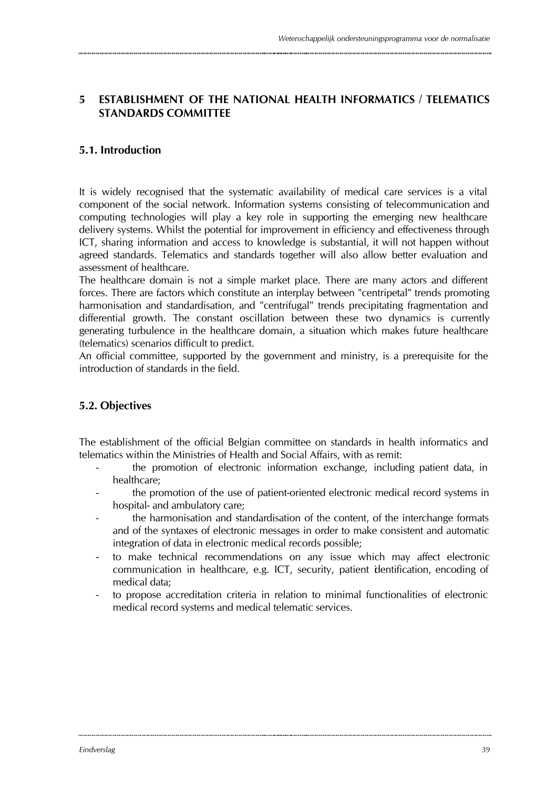### **5 ESTABLISHMENT OF THE NATIONAL HEALTH INFORMATICS / TELEMATICS STANDARDS COMMITTEE**

### **5.1. Introduction**

It is widely recognised that the systematic availability of medical care services is a vital component of the social network. Information systems consisting of telecommunication and computing technologies will play a key role in supporting the emerging new healthcare delivery systems. Whilst the potential for improvement in efficiency and effectiveness through ICT, sharing information and access to knowledge is substantial, it will not happen without agreed standards. Telematics and standards together will also allow better evaluation and assessment of healthcare.

The healthcare domain is not a simple market place. There are many actors and different forces. There are factors which constitute an interplay between "centripetal" trends promoting harmonisation and standardisation, and "centrifugal" trends precipitating fragmentation and differential growth. The constant oscillation between these two dynamics is currently generating turbulence in the healthcare domain, a situation which makes future healthcare (telematics) scenarios difficult to predict.

An official committee, supported by the government and ministry, is a prerequisite for the introduction of standards in the field.

### **5.2. Objectives**

The establishment of the official Belgian committee on standards in health informatics and telematics within the Ministries of Health and Social Affairs, with as remit:

- the promotion of electronic information exchange, including patient data, in healthcare;
- the promotion of the use of patient-oriented electronic medical record systems in hospital- and ambulatory care;
- the harmonisation and standardisation of the content, of the interchange formats and of the syntaxes of electronic messages in order to make consistent and automatic integration of data in electronic medical records possible;
- to make technical recommendations on any issue which may affect electronic communication in healthcare, e.g. ICT, security, patient identification, encoding of medical data;
- to propose accreditation criteria in relation to minimal functionalities of electronic medical record systems and medical telematic services.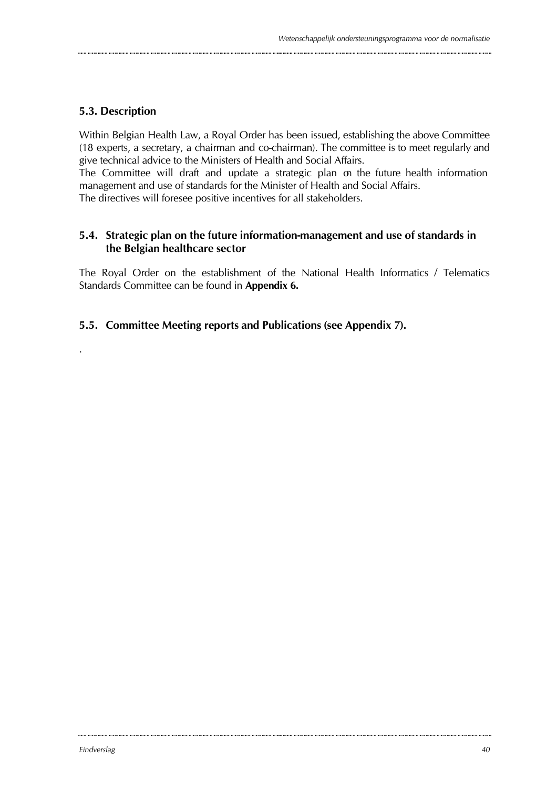### **5.3. Description**

.

Within Belgian Health Law, a Royal Order has been issued, establishing the above Committee (18 experts, a secretary, a chairman and co-chairman). The committee is to meet regularly and give technical advice to the Ministers of Health and Social Affairs.

The Committee will draft and update a strategic plan on the future health information management and use of standards for the Minister of Health and Social Affairs.

The directives will foresee positive incentives for all stakeholders.

### **5.4. Strategic plan on the future information-management and use of standards in the Belgian healthcare sector**

The Royal Order on the establishment of the National Health Informatics / Telematics Standards Committee can be found in **Appendix 6.**

### **5.5. Committee Meeting reports and Publications (see Appendix 7).**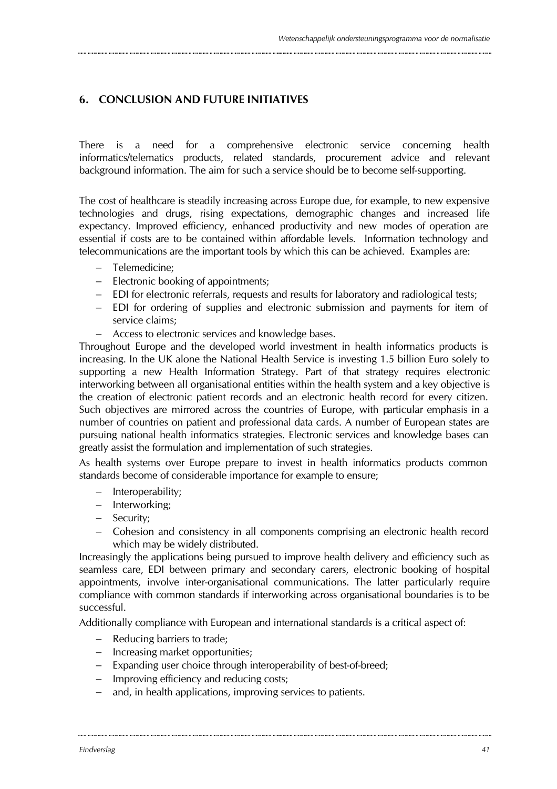### **6. CONCLUSION AND FUTURE INITIATIVES**

There is a need for a comprehensive electronic service concerning health informatics/telematics products, related standards, procurement advice and relevant background information. The aim for such a service should be to become self-supporting.

The cost of healthcare is steadily increasing across Europe due, for example, to new expensive technologies and drugs, rising expectations, demographic changes and increased life expectancy. Improved efficiency, enhanced productivity and new modes of operation are essential if costs are to be contained within affordable levels. Information technology and telecommunications are the important tools by which this can be achieved. Examples are:

- − Telemedicine;
- − Electronic booking of appointments;
- − EDI for electronic referrals, requests and results for laboratory and radiological tests;
- − EDI for ordering of supplies and electronic submission and payments for item of service claims;
- − Access to electronic services and knowledge bases.

Throughout Europe and the developed world investment in health informatics products is increasing. In the UK alone the National Health Service is investing 1.5 billion Euro solely to supporting a new Health Information Strategy. Part of that strategy requires electronic interworking between all organisational entities within the health system and a key objective is the creation of electronic patient records and an electronic health record for every citizen. Such objectives are mirrored across the countries of Europe, with particular emphasis in a number of countries on patient and professional data cards. A number of European states are pursuing national health informatics strategies. Electronic services and knowledge bases can greatly assist the formulation and implementation of such strategies.

As health systems over Europe prepare to invest in health informatics products common standards become of considerable importance for example to ensure;

- − Interoperability;
- − Interworking;
- − Security;
- − Cohesion and consistency in all components comprising an electronic health record which may be widely distributed.

Increasingly the applications being pursued to improve health delivery and efficiency such as seamless care, EDI between primary and secondary carers, electronic booking of hospital appointments, involve inter-organisational communications. The latter particularly require compliance with common standards if interworking across organisational boundaries is to be successful.

Additionally compliance with European and international standards is a critical aspect of:

- − Reducing barriers to trade;
- − Increasing market opportunities;
- − Expanding user choice through interoperability of best-of-breed;
- − Improving efficiency and reducing costs;
- and, in health applications, improving services to patients.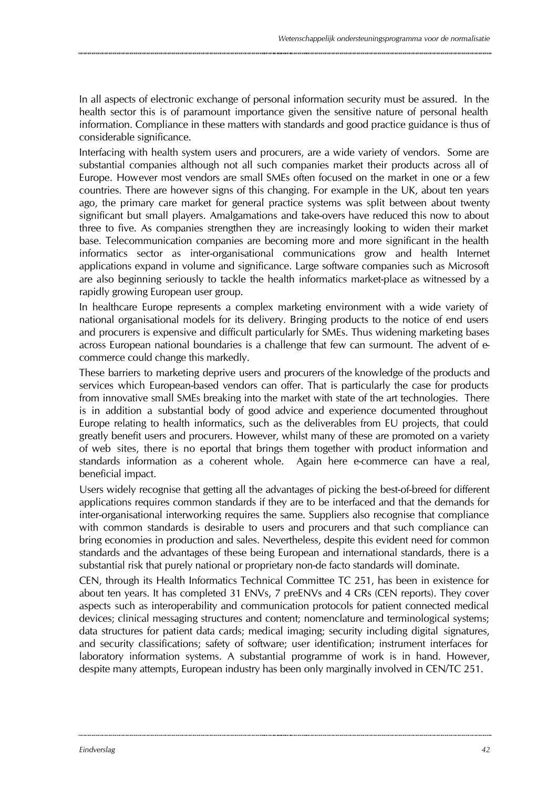In all aspects of electronic exchange of personal information security must be assured. In the health sector this is of paramount importance given the sensitive nature of personal health information. Compliance in these matters with standards and good practice guidance is thus of considerable significance.

Interfacing with health system users and procurers, are a wide variety of vendors. Some are substantial companies although not all such companies market their products across all of Europe. However most vendors are small SMEs often focused on the market in one or a few countries. There are however signs of this changing. For example in the UK, about ten years ago, the primary care market for general practice systems was split between about twenty significant but small players. Amalgamations and take-overs have reduced this now to about three to five. As companies strengthen they are increasingly looking to widen their market base. Telecommunication companies are becoming more and more significant in the health informatics sector as inter-organisational communications grow and health Internet applications expand in volume and significance. Large software companies such as Microsoft are also beginning seriously to tackle the health informatics market-place as witnessed by a rapidly growing European user group.

In healthcare Europe represents a complex marketing environment with a wide variety of national organisational models for its delivery. Bringing products to the notice of end users and procurers is expensive and difficult particularly for SMEs. Thus widening marketing bases across European national boundaries is a challenge that few can surmount. The advent of ecommerce could change this markedly.

These barriers to marketing deprive users and procurers of the knowledge of the products and services which European-based vendors can offer. That is particularly the case for products from innovative small SMEs breaking into the market with state of the art technologies. There is in addition a substantial body of good advice and experience documented throughout Europe relating to health informatics, such as the deliverables from EU projects, that could greatly benefit users and procurers. However, whilst many of these are promoted on a variety of web sites, there is no eportal that brings them together with product information and standards information as a coherent whole. Again here e-commerce can have a real, beneficial impact.

Users widely recognise that getting all the advantages of picking the best-of-breed for different applications requires common standards if they are to be interfaced and that the demands for inter-organisational interworking requires the same. Suppliers also recognise that compliance with common standards is desirable to users and procurers and that such compliance can bring economies in production and sales. Nevertheless, despite this evident need for common standards and the advantages of these being European and international standards, there is a substantial risk that purely national or proprietary non-de facto standards will dominate.

CEN, through its Health Informatics Technical Committee TC 251, has been in existence for about ten years. It has completed 31 ENVs, 7 preENVs and 4 CRs (CEN reports). They cover aspects such as interoperability and communication protocols for patient connected medical devices; clinical messaging structures and content; nomenclature and terminological systems; data structures for patient data cards; medical imaging; security including digital signatures, and security classifications; safety of software; user identification; instrument interfaces for laboratory information systems. A substantial programme of work is in hand. However, despite many attempts, European industry has been only marginally involved in CEN/TC 251.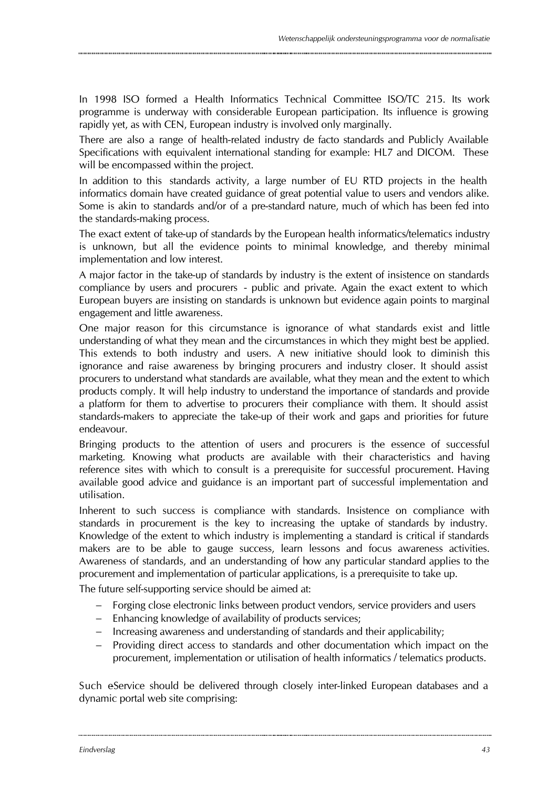In 1998 ISO formed a Health Informatics Technical Committee ISO/TC 215. Its work programme is underway with considerable European participation. Its influence is growing rapidly yet, as with CEN, European industry is involved only marginally.

There are also a range of health-related industry de facto standards and Publicly Available Specifications with equivalent international standing for example: HL7 and DICOM. These will be encompassed within the project.

In addition to this standards activity, a large number of EU RTD projects in the health informatics domain have created guidance of great potential value to users and vendors alike. Some is akin to standards and/or of a pre-standard nature, much of which has been fed into the standards-making process.

The exact extent of take-up of standards by the European health informatics/telematics industry is unknown, but all the evidence points to minimal knowledge, and thereby minimal implementation and low interest.

A major factor in the take-up of standards by industry is the extent of insistence on standards compliance by users and procurers - public and private. Again the exact extent to which European buyers are insisting on standards is unknown but evidence again points to marginal engagement and little awareness.

One major reason for this circumstance is ignorance of what standards exist and little understanding of what they mean and the circumstances in which they might best be applied. This extends to both industry and users. A new initiative should look to diminish this ignorance and raise awareness by bringing procurers and industry closer. It should assist procurers to understand what standards are available, what they mean and the extent to which products comply. It will help industry to understand the importance of standards and provide a platform for them to advertise to procurers their compliance with them. It should assist standards-makers to appreciate the take-up of their work and gaps and priorities for future endeavour.

Bringing products to the attention of users and procurers is the essence of successful marketing. Knowing what products are available with their characteristics and having reference sites with which to consult is a prerequisite for successful procurement. Having available good advice and guidance is an important part of successful implementation and utilisation.

Inherent to such success is compliance with standards. Insistence on compliance with standards in procurement is the key to increasing the uptake of standards by industry. Knowledge of the extent to which industry is implementing a standard is critical if standards makers are to be able to gauge success, learn lessons and focus awareness activities. Awareness of standards, and an understanding of how any particular standard applies to the procurement and implementation of particular applications, is a prerequisite to take up.

The future self-supporting service should be aimed at:

- − Forging close electronic links between product vendors, service providers and users
- − Enhancing knowledge of availability of products services;
- − Increasing awareness and understanding of standards and their applicability;
- − Providing direct access to standards and other documentation which impact on the procurement, implementation or utilisation of health informatics / telematics products.

Such e-Service should be delivered through closely inter-linked European databases and a dynamic portal web site comprising: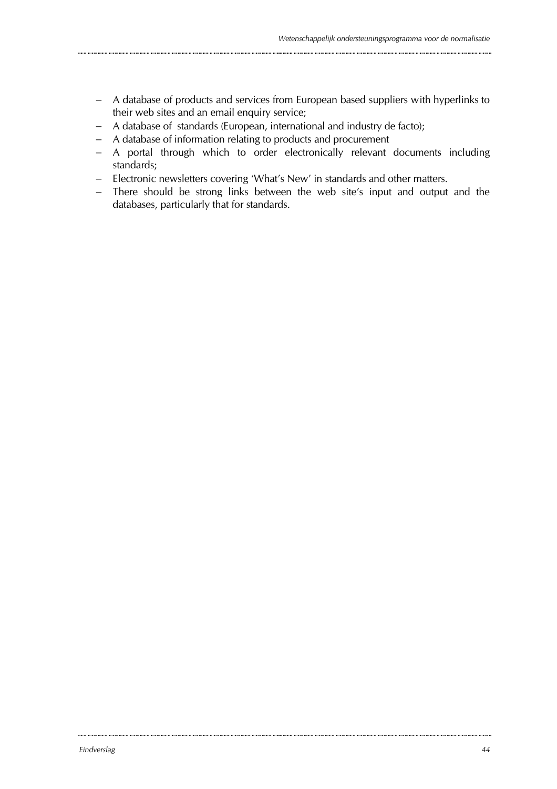- − A database of products and services from European based suppliers with hyperlinks to their web sites and an email enquiry service;
- − A database of standards (European, international and industry de facto);
- − A database of information relating to products and procurement
- − A portal through which to order electronically relevant documents including standards;
- − Electronic newsletters covering 'What's New' in standards and other matters.
- − There should be strong links between the web site's input and output and the databases, particularly that for standards.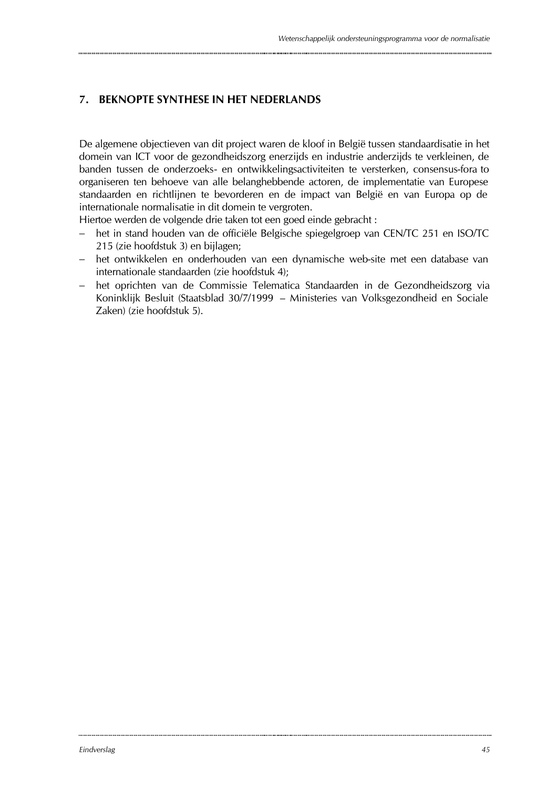### **7. BEKNOPTE SYNTHESE IN HET NEDERLANDS**

De algemene objectieven van dit project waren de kloof in België tussen standaardisatie in het domein van ICT voor de gezondheidszorg enerzijds en industrie anderzijds te verkleinen, de banden tussen de onderzoeks- en ontwikkelingsactiviteiten te versterken, consensus-fora to organiseren ten behoeve van alle belanghebbende actoren, de implementatie van Europese standaarden en richtlijnen te bevorderen en de impact van België en van Europa op de internationale normalisatie in dit domein te vergroten.

Hiertoe werden de volgende drie taken tot een goed einde gebracht :

- − het in stand houden van de officiële Belgische spiegelgroep van CEN/TC 251 en ISO/TC 215 (zie hoofdstuk 3) en bijlagen;
- − het ontwikkelen en onderhouden van een dynamische web-site met een database van internationale standaarden (zie hoofdstuk 4);
- − het oprichten van de Commissie Telematica Standaarden in de Gezondheidszorg via Koninklijk Besluit (Staatsblad 30/7/1999 – Ministeries van Volksgezondheid en Sociale Zaken) (zie hoofdstuk 5).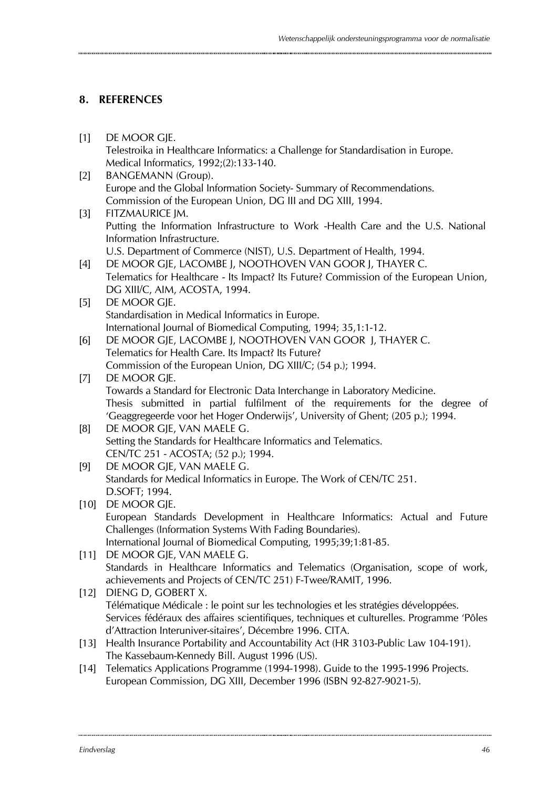### **8. REFERENCES**

- [1] DE MOOR GIE. Telestroika in Healthcare Informatics: a Challenge for Standardisation in Europe. Medical Informatics, 1992;(2):133-140. [2] BANGEMANN (Group). Europe and the Global Information Society- Summary of Recommendations. Commission of the European Union, DG III and DG XIII, 1994. [3] FITZMAURICE JM. Putting the Information Infrastructure to Work -Health Care and the U.S. National Information Infrastructure. U.S. Department of Commerce (NIST), U.S. Department of Health, 1994. [4] DE MOOR GJE, LACOMBE J, NOOTHOVEN VAN GOOR J, THAYER C. Telematics for Healthcare - Its Impact? Its Future? Commission of the European Union, DG XIII/C, AIM, ACOSTA, 1994. [5] DE MOOR GJE. Standardisation in Medical Informatics in Europe. International Journal of Biomedical Computing, 1994; 35,1:1-12. [6] DE MOOR GJE, LACOMBE J, NOOTHOVEN VAN GOOR J, THAYER C. Telematics for Health Care. Its Impact? Its Future? Commission of the European Union, DG XIII/C; (54 p.); 1994. [7] DE MOOR GIE. Towards a Standard for Electronic Data Interchange in Laboratory Medicine. Thesis submitted in partial fulfilment of the requirements for the degree of 'Geaggregeerde voor het Hoger Onderwijs', University of Ghent; (205 p.); 1994. [8] DE MOOR GJE, VAN MAELE G. Setting the Standards for Healthcare Informatics and Telematics. CEN/TC 251 - ACOSTA; (52 p.); 1994. [9] DE MOOR GJE, VAN MAELE G. Standards for Medical Informatics in Europe. The Work of CEN/TC 251. D.SOFT; 1994. [10] DE MOOR GJE. European Standards Development in Healthcare Informatics: Actual and Future Challenges (Information Systems With Fading Boundaries). International Journal of Biomedical Computing, 1995;39;1:81-85. [11] DE MOOR GIE, VAN MAELE G. Standards in Healthcare Informatics and Telematics (Organisation, scope of work, achievements and Projects of CEN/TC 251) F-Twee/RAMIT, 1996. [12] DIENG D, GOBERT X. Télématique Médicale : le point sur les technologies et les stratégies développées. Services fédéraux des affaires scientifiques, techniques et culturelles. Programme 'Pôles d'Attraction Interuniver-sitaires', Décembre 1996. CITA. [13] Health Insurance Portability and Accountability Act (HR 3103-Public Law 104-191). The Kassebaum-Kennedy Bill. August 1996 (US). [14] Telematics Applications Programme (1994-1998). Guide to the 1995-1996 Projects.
	- European Commission, DG XIII, December 1996 (ISBN 92-827-9021-5).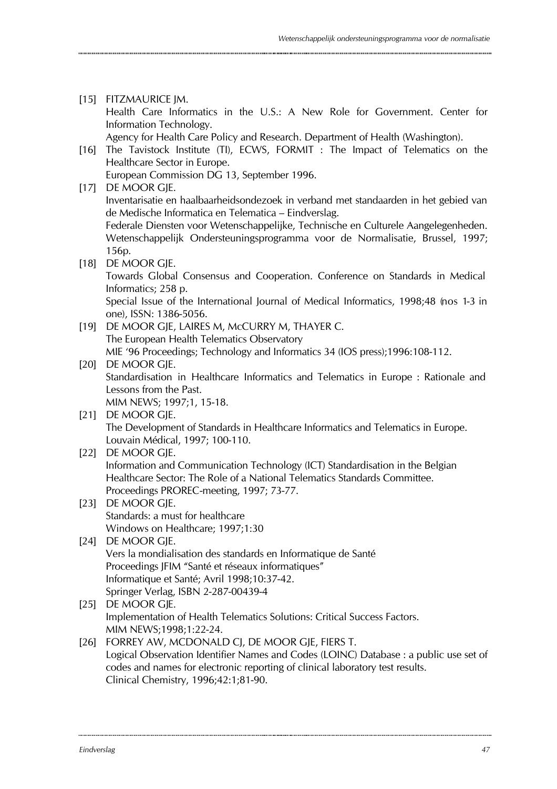[15] FITZMAURICE JM. Health Care Informatics in the U.S.: A New Role for Government. Center for Information Technology.

Agency for Health Care Policy and Research. Department of Health (Washington).

[16] The Tavistock Institute (TI), ECWS, FORMIT : The Impact of Telematics on the Healthcare Sector in Europe. European Commission DG 13, September 1996.

[17] DE MOOR GJE.

Inventarisatie en haalbaarheidsondezoek in verband met standaarden in het gebied van de Medische Informatica en Telematica – Eindverslag.

Federale Diensten voor Wetenschappelijke, Technische en Culturele Aangelegenheden. Wetenschappelijk Ondersteuningsprogramma voor de Normalisatie, Brussel, 1997; 156p.

[18] DE MOOR GIE.

Towards Global Consensus and Cooperation. Conference on Standards in Medical Informatics; 258 p.

Special Issue of the International Journal of Medical Informatics, 1998;48 (nos 1-3 in one), ISSN: 1386-5056.

[19] DE MOOR GJE, LAIRES M, McCURRY M, THAYER C. The European Health Telematics Observatory MIE '96 Proceedings; Technology and Informatics 34 (IOS press);1996:108-112.

### [20] DE MOOR GIE. Standardisation in Healthcare Informatics and Telematics in Europe : Rationale and Lessons from the Past. MIM NEWS; 1997;1, 15-18.

[21] DE MOOR GJE. The Development of Standards in Healthcare Informatics and Telematics in Europe. Louvain Médical, 1997; 100-110.

- [22] DE MOOR GJE. Information and Communication Technology (ICT) Standardisation in the Belgian Healthcare Sector: The Role of a National Telematics Standards Committee. Proceedings PROREC-meeting, 1997; 73-77.
- [23] DE MOOR GJE. Standards: a must for healthcare Windows on Healthcare; 1997;1:30

### [24] DE MOOR GJE. Vers la mondialisation des standards en Informatique de Santé Proceedings JFIM "Santé et réseaux informatiques" Informatique et Santé; Avril 1998;10:37-42. Springer Verlag, ISBN 2-287-00439-4

[25] DE MOOR GIE. Implementation of Health Telematics Solutions: Critical Success Factors. MIM NEWS;1998;1:22-24.

#### [26] FORREY AW, MCDONALD CI, DE MOOR GIE, FIERS T. Logical Observation Identifier Names and Codes (LOINC) Database : a public use set of codes and names for electronic reporting of clinical laboratory test results. Clinical Chemistry, 1996;42:1;81-90.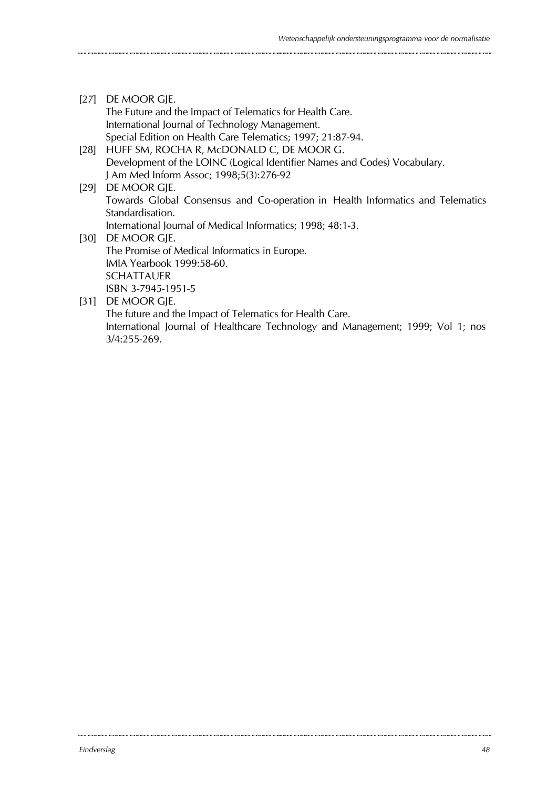[27] DE MOOR GIE. The Future and the Impact of Telematics for Health Care. International Journal of Technology Management. Special Edition on Health Care Telematics; 1997; 21:87-94. [28] HUFF SM, ROCHA R, McDONALD C, DE MOOR G. Development of the LOINC (Logical Identifier Names and Codes) Vocabulary. J Am Med Inform Assoc; 1998;5(3):276-92 [29] DE MOOR GJE. Towards Global Consensus and Co-operation in Health Informatics and Telematics Standardisation. International Journal of Medical Informatics; 1998; 48:1-3. [30] DE MOOR GJE. The Promise of Medical Informatics in Europe. IMIA Yearbook 1999:58-60. SCHATTAUER ISBN 3-7945-1951-5 [31] DE MOOR GJE. The future and the Impact of Telematics for Health Care.

International Journal of Healthcare Technology and Management; 1999; Vol 1; nos 3/4:255-269.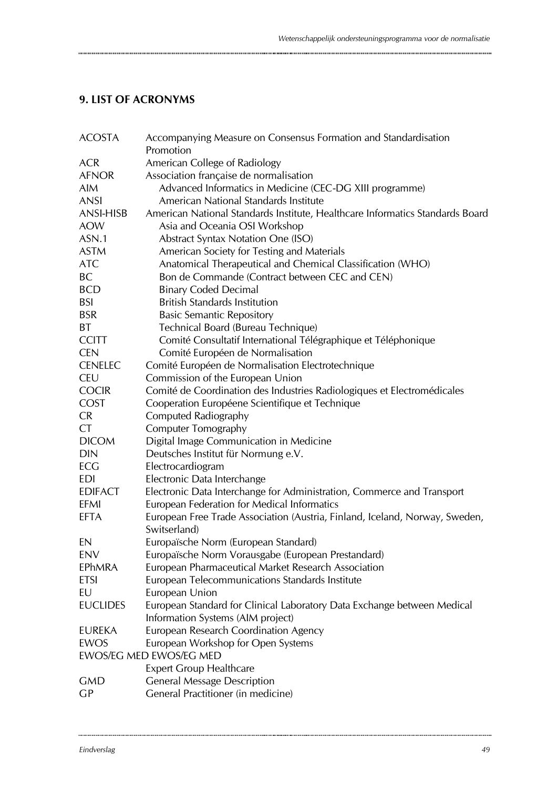# **9. LIST OF ACRONYMS**

| <b>ACOSTA</b>    | Accompanying Measure on Consensus Formation and Standardisation<br>Promotion                |
|------------------|---------------------------------------------------------------------------------------------|
| <b>ACR</b>       | American College of Radiology                                                               |
| <b>AFNOR</b>     | Association française de normalisation                                                      |
| <b>AIM</b>       | Advanced Informatics in Medicine (CEC-DG XIII programme)                                    |
| <b>ANSI</b>      | American National Standards Institute                                                       |
| <b>ANSI-HISB</b> | American National Standards Institute, Healthcare Informatics Standards Board               |
| <b>AOW</b>       | Asia and Oceania OSI Workshop                                                               |
| ASN.1            | <b>Abstract Syntax Notation One (ISO)</b>                                                   |
| <b>ASTM</b>      | American Society for Testing and Materials                                                  |
| <b>ATC</b>       | Anatomical Therapeutical and Chemical Classification (WHO)                                  |
| <b>BC</b>        | Bon de Commande (Contract between CEC and CEN)                                              |
| <b>BCD</b>       | <b>Binary Coded Decimal</b>                                                                 |
| <b>BSI</b>       | <b>British Standards Institution</b>                                                        |
| <b>BSR</b>       | <b>Basic Semantic Repository</b>                                                            |
| <b>BT</b>        | Technical Board (Bureau Technique)                                                          |
| <b>CCITT</b>     | Comité Consultatif International Télégraphique et Téléphonique                              |
| <b>CEN</b>       | Comité Européen de Normalisation                                                            |
| <b>CENELEC</b>   | Comité Européen de Normalisation Electrotechnique                                           |
| <b>CEU</b>       | Commission of the European Union                                                            |
| <b>COCIR</b>     | Comité de Coordination des Industries Radiologiques et Electromédicales                     |
| <b>COST</b>      | Cooperation Européene Scientifique et Technique                                             |
| <b>CR</b>        | Computed Radiography                                                                        |
| CT               | Computer Tomography                                                                         |
| <b>DICOM</b>     | Digital Image Communication in Medicine                                                     |
| <b>DIN</b>       | Deutsches Institut für Normung e.V.                                                         |
| ECG              | Electrocardiogram                                                                           |
| <b>EDI</b>       | Electronic Data Interchange                                                                 |
| <b>EDIFACT</b>   | Electronic Data Interchange for Administration, Commerce and Transport                      |
| <b>EFMI</b>      | European Federation for Medical Informatics                                                 |
| EFTA             | European Free Trade Association (Austria, Finland, Iceland, Norway, Sweden,<br>Switserland) |
| EN               | Europaïsche Norm (European Standard)                                                        |
| <b>ENV</b>       | Europaïsche Norm Vorausgabe (European Prestandard)                                          |
| EPhMRA           | European Pharmaceutical Market Research Association                                         |
| <b>ETSI</b>      | European Telecommunications Standards Institute                                             |
| EU               | European Union                                                                              |
| <b>EUCLIDES</b>  | European Standard for Clinical Laboratory Data Exchange between Medical                     |
|                  | Information Systems (AIM project)                                                           |
| <b>EUREKA</b>    | European Research Coordination Agency                                                       |
| EWOS             | European Workshop for Open Systems                                                          |
|                  | EWOS/EG MED EWOS/EG MED                                                                     |
|                  | <b>Expert Group Healthcare</b>                                                              |
| <b>GMD</b>       | <b>General Message Description</b>                                                          |
| GP               | General Practitioner (in medicine)                                                          |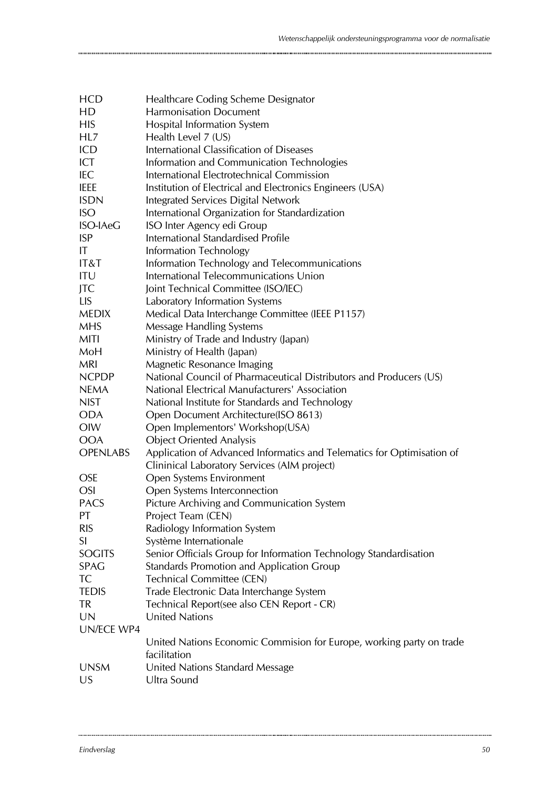| <b>HCD</b>      | Healthcare Coding Scheme Designator                                    |
|-----------------|------------------------------------------------------------------------|
| HD              | <b>Harmonisation Document</b>                                          |
| <b>HIS</b>      | <b>Hospital Information System</b>                                     |
| HL7             | Health Level 7 (US)                                                    |
| ICD             | International Classification of Diseases                               |
| ICT             | Information and Communication Technologies                             |
| IEC             | International Electrotechnical Commission                              |
| <b>IEEE</b>     | Institution of Electrical and Electronics Engineers (USA)              |
| <b>ISDN</b>     | Integrated Services Digital Network                                    |
| <b>ISO</b>      | International Organization for Standardization                         |
| <b>ISO-IAeG</b> | ISO Inter Agency edi Group                                             |
| <b>ISP</b>      | International Standardised Profile                                     |
| IT              | Information Technology                                                 |
| IT&T            | Information Technology and Telecommunications                          |
| <b>ITU</b>      | International Telecommunications Union                                 |
| JTC             | Joint Technical Committee (ISO/IEC)                                    |
| <b>LIS</b>      | Laboratory Information Systems                                         |
| <b>MEDIX</b>    | Medical Data Interchange Committee (IEEE P1157)                        |
| <b>MHS</b>      | Message Handling Systems                                               |
| <b>MITI</b>     | Ministry of Trade and Industry (Japan)                                 |
| MoH             | Ministry of Health (Japan)                                             |
| <b>MRI</b>      | Magnetic Resonance Imaging                                             |
| <b>NCPDP</b>    | National Council of Pharmaceutical Distributors and Producers (US)     |
| <b>NEMA</b>     | National Electrical Manufacturers' Association                         |
| <b>NIST</b>     | National Institute for Standards and Technology                        |
| <b>ODA</b>      | Open Document Architecture(ISO 8613)                                   |
| OIW             | Open Implementors' Workshop(USA)                                       |
| <b>OOA</b>      | <b>Object Oriented Analysis</b>                                        |
| <b>OPENLABS</b> | Application of Advanced Informatics and Telematics for Optimisation of |
|                 | Clininical Laboratory Services (AIM project)                           |
| <b>OSE</b>      | Open Systems Environment                                               |
| <b>OSI</b>      | Open Systems Interconnection                                           |
| <b>PACS</b>     | Picture Archiving and Communication System                             |
| PT              | Project Team (CEN)                                                     |
| <b>RIS</b>      | Radiology Information System                                           |
| SI              | Système Internationale                                                 |
| <b>SOGITS</b>   | Senior Officials Group for Information Technology Standardisation      |
| <b>SPAG</b>     | Standards Promotion and Application Group                              |
| <b>TC</b>       | <b>Technical Committee (CEN)</b>                                       |
| <b>TEDIS</b>    | Trade Electronic Data Interchange System                               |
| <b>TR</b>       | Technical Report(see also CEN Report - CR)                             |
| <b>UN</b>       | <b>United Nations</b>                                                  |
| UN/ECE WP4      |                                                                        |
|                 | United Nations Economic Commision for Europe, working party on trade   |
|                 | facilitation                                                           |
| <b>UNSM</b>     | United Nations Standard Message                                        |
| US              | Ultra Sound                                                            |
|                 |                                                                        |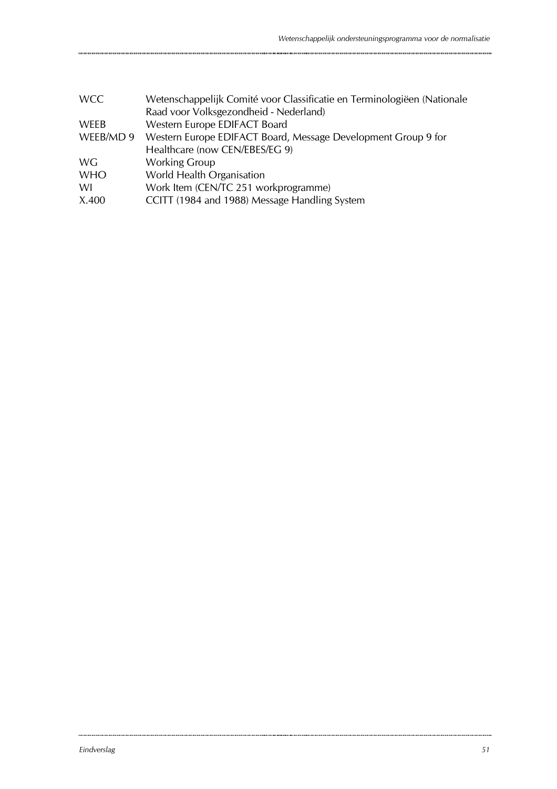| <b>WCC</b> | Wetenschappelijk Comité voor Classificatie en Terminologiëen (Nationale |
|------------|-------------------------------------------------------------------------|
|            | Raad voor Volksgezondheid - Nederland)                                  |
| WEEB       | Western Europe EDIFACT Board                                            |
| WEEB/MD 9  | Western Europe EDIFACT Board, Message Development Group 9 for           |
|            | Healthcare (now CEN/EBES/EG 9)                                          |
| WG.        | <b>Working Group</b>                                                    |
| <b>WHO</b> | World Health Organisation                                               |
| WI         | Work Item (CEN/TC 251 workprogramme)                                    |
| X.400      | CCITT (1984 and 1988) Message Handling System                           |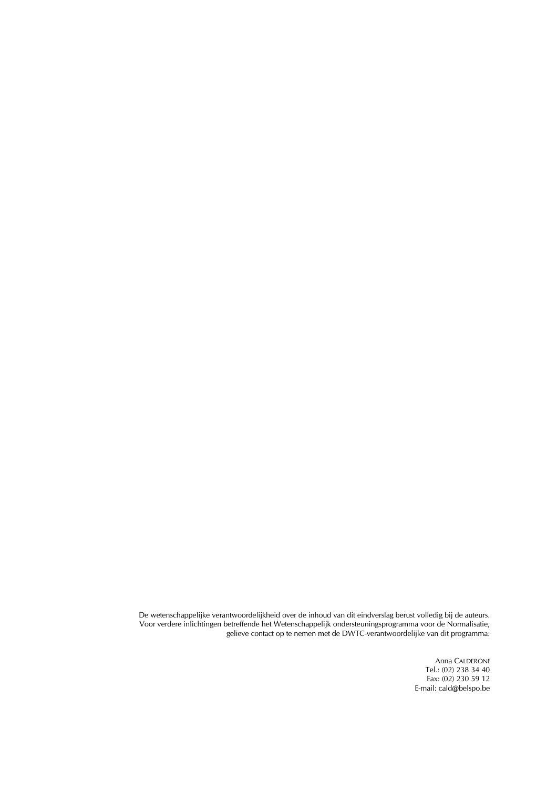De wetenschappelijke verantwoordelijkheid over de inhoud van dit eindverslag berust volledig bij de auteurs. Voor verdere inlichtingen betreffende het Wetenschappelijk ondersteuningsprogramma voor de Normalisatie, gelieve contact op te nemen met de DWTC-verantwoordelijke van dit programma:

> Anna CALDERONE Tel.: (02) 238 34 40 Fax: (02) 230 59 12 E-mail: cald@belspo.be